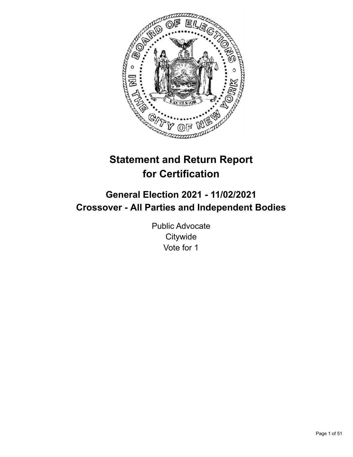

# **Statement and Return Report for Certification**

# **General Election 2021 - 11/02/2021 Crossover - All Parties and Independent Bodies**

Public Advocate **Citywide** Vote for 1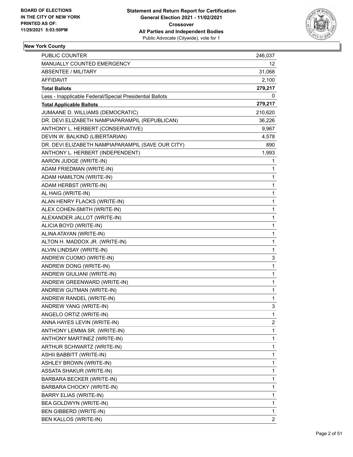

| <b>PUBLIC COUNTER</b>                                    | 246,037        |
|----------------------------------------------------------|----------------|
| MANUALLY COUNTED EMERGENCY                               | 12             |
| <b>ABSENTEE / MILITARY</b>                               | 31,068         |
| AFFIDAVIT                                                | 2,100          |
| <b>Total Ballots</b>                                     | 279,217        |
| Less - Inapplicable Federal/Special Presidential Ballots | 0              |
| <b>Total Applicable Ballots</b>                          | 279,217        |
| JUMAANE D. WILLIAMS (DEMOCRATIC)                         | 210,620        |
| DR. DEVI ELIZABETH NAMPIAPARAMPIL (REPUBLICAN)           | 36,226         |
| ANTHONY L. HERBERT (CONSERVATIVE)                        | 9,967          |
| DEVIN W. BALKIND (LIBERTARIAN)                           | 4,578          |
| DR. DEVI ELIZABETH NAMPIAPARAMPIL (SAVE OUR CITY)        | 890            |
| ANTHONY L. HERBERT (INDEPENDENT)                         | 1,993          |
| AARON JUDGE (WRITE-IN)                                   | 1              |
| ADAM FRIEDMAN (WRITE-IN)                                 | $\mathbf{1}$   |
| ADAM HAMILTON (WRITE-IN)                                 | $\mathbf{1}$   |
| ADAM HERBST (WRITE-IN)                                   | 1              |
| AL HAIG (WRITE-IN)                                       | 1              |
| ALAN HENRY FLACKS (WRITE-IN)                             | 1              |
| ALEX COHEN-SMITH (WRITE-IN)                              | 1              |
| ALEXANDER JALLOT (WRITE-IN)                              | $\mathbf{1}$   |
| ALICIA BOYD (WRITE-IN)                                   | $\mathbf{1}$   |
| ALINA ATAYAN (WRITE-IN)                                  | 1              |
| ALTON H. MADDOX JR. (WRITE-IN)                           | 1              |
| ALVIN LINDSAY (WRITE-IN)                                 | $\mathbf{1}$   |
| ANDREW CUOMO (WRITE-IN)                                  | 3              |
| ANDREW DONG (WRITE-IN)                                   | $\mathbf{1}$   |
| ANDREW GIULIANI (WRITE-IN)                               | $\mathbf{1}$   |
| ANDREW GREENWARD (WRITE-IN)                              | 1              |
| ANDREW GUTMAN (WRITE-IN)                                 | 1              |
| ANDREW RANDEL (WRITE-IN)                                 | $\mathbf{1}$   |
| ANDREW YANG (WRITE-IN)                                   | 3              |
| ANGELO ORTIZ (WRITE-IN)                                  | 1              |
| ANNA HAYES LEVIN (WRITE-IN)                              | 2              |
| ANTHONY LEMMA SR. (WRITE-IN)                             | 1              |
| ANTHONY MARTINEZ (WRITE-IN)                              | $\mathbf{1}$   |
| ARTHUR SCHWARTZ (WRITE-IN)                               | 1              |
| ASHII BABBITT (WRITE-IN)                                 | 1              |
| ASHLEY BROWN (WRITE-IN)                                  | 1              |
| ASSATA SHAKUR (WRITE-IN)                                 | 1              |
| BARBARA BECKER (WRITE-IN)                                | 1              |
| BARBARA CHOCKY (WRITE-IN)                                | $\mathbf{1}$   |
| BARRY ELIAS (WRITE-IN)                                   | 1              |
| BEA GOLDWYN (WRITE-IN)                                   | 1              |
| BEN GIBBERD (WRITE-IN)                                   | 1              |
| BEN KALLOS (WRITE-IN)                                    | $\overline{2}$ |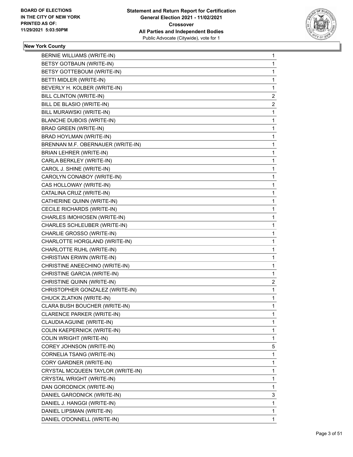

| BERNIE WILLIAMS (WRITE-IN)        | $\mathbf{1}$   |
|-----------------------------------|----------------|
| BETSY GOTBAUN (WRITE-IN)          | 1              |
| BETSY GOTTEBOUM (WRITE-IN)        | 1              |
| BETTI MIDLER (WRITE-IN)           | 1              |
| BEVERLY H. KOLBER (WRITE-IN)      | 1              |
| BILL CLINTON (WRITE-IN)           | $\overline{c}$ |
| BILL DE BLASIO (WRITE-IN)         | $\overline{2}$ |
| BILL MURAWSKI (WRITE-IN)          | 1              |
| <b>BLANCHE DUBOIS (WRITE-IN)</b>  | 1              |
| <b>BRAD GREEN (WRITE-IN)</b>      | 1              |
| BRAD HOYLMAN (WRITE-IN)           | 1              |
| BRENNAN M.F. OBERNAUER (WRITE-IN) | 1              |
| <b>BRIAN LEHRER (WRITE-IN)</b>    | 1              |
| CARLA BERKLEY (WRITE-IN)          | 1              |
| CAROL J. SHINE (WRITE-IN)         | 1              |
| CAROLYN CONABOY (WRITE-IN)        | 1              |
| CAS HOLLOWAY (WRITE-IN)           | 1              |
| CATALINA CRUZ (WRITE-IN)          | 1              |
| CATHERINE QUINN (WRITE-IN)        | 1              |
| CECILE RICHARDS (WRITE-IN)        | 1              |
| CHARLES IMOHIOSEN (WRITE-IN)      | 1              |
| CHARLES SCHLEUBER (WRITE-IN)      | 1              |
| CHARLIE GROSSO (WRITE-IN)         | 1              |
| CHARLOTTE HORGLAND (WRITE-IN)     | 1              |
| CHARLOTTE RUHL (WRITE-IN)         | 1              |
| CHRISTIAN ERWIN (WRITE-IN)        | 1              |
| CHRISTINE ANEECHINO (WRITE-IN)    | 1              |
| CHRISTINE GARCIA (WRITE-IN)       | 1              |
| CHRISTINE QUINN (WRITE-IN)        | 2              |
| CHRISTOPHER GONZALEZ (WRITE-IN)   | 1              |
| CHUCK ZLATKIN (WRITE-IN)          | 1              |
| CLARA BUSH BOUCHER (WRITE-IN)     | 1              |
| CLARENCE PARKER (WRITE-IN)        | 1              |
| CLAUDIA AGUINE (WRITE-IN)         | 1              |
| COLIN KAEPERNICK (WRITE-IN)       | 1              |
| <b>COLIN WRIGHT (WRITE-IN)</b>    | 1              |
| COREY JOHNSON (WRITE-IN)          | 5              |
| CORNELIA TSANG (WRITE-IN)         | 1              |
| CORY GARDNER (WRITE-IN)           | 1              |
| CRYSTAL MCQUEEN TAYLOR (WRITE-IN) | 1              |
| CRYSTAL WRIGHT (WRITE-IN)         | 1              |
| DAN GORODNICK (WRITE-IN)          | 1              |
| DANIEL GARODNICK (WRITE-IN)       | 3              |
| DANIEL J. HANGGI (WRITE-IN)       | 1              |
| DANIEL LIPSMAN (WRITE-IN)         | 1              |
| DANIEL O'DONNELL (WRITE-IN)       | $\mathbf{1}$   |
|                                   |                |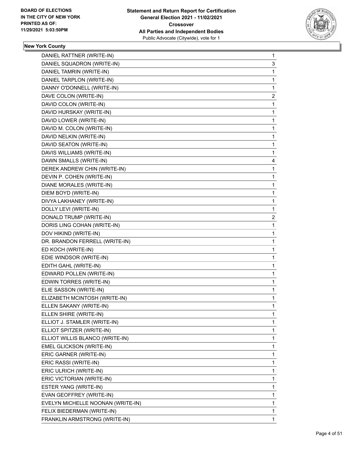

| DANIEL RATTNER (WRITE-IN)         | $\mathbf{1}$ |
|-----------------------------------|--------------|
| DANIEL SQUADRON (WRITE-IN)        | 3            |
| DANIEL TAMRIN (WRITE-IN)          | 1            |
| DANIEL TARPLON (WRITE-IN)         | 1            |
| DANNY O'DONNELL (WRITE-IN)        | 1            |
| DAVE COLON (WRITE-IN)             | 2            |
| DAVID COLON (WRITE-IN)            | 1            |
| DAVID HURSKAY (WRITE-IN)          | 1            |
| DAVID LOWER (WRITE-IN)            | 1            |
| DAVID M. COLON (WRITE-IN)         | 1            |
| DAVID NELKIN (WRITE-IN)           | 1            |
| DAVID SEATON (WRITE-IN)           | 1            |
| DAVIS WILLIAMS (WRITE-IN)         | $\mathbf{1}$ |
| DAWN SMALLS (WRITE-IN)            | 4            |
| DEREK ANDREW CHIN (WRITE-IN)      | 1            |
| DEVIN P. COHEN (WRITE-IN)         | 1            |
| <b>DIANE MORALES (WRITE-IN)</b>   | 1            |
| DIEM BOYD (WRITE-IN)              | 1            |
| DIVYA LAKHANEY (WRITE-IN)         | 1            |
| DOLLY LEVI (WRITE-IN)             | 1            |
| DONALD TRUMP (WRITE-IN)           | 2            |
| DORIS LING COHAN (WRITE-IN)       | 1            |
| DOV HIKIND (WRITE-IN)             | 1            |
| DR. BRANDON FERRELL (WRITE-IN)    | 1            |
| ED KOCH (WRITE-IN)                | 1            |
| EDIE WINDSOR (WRITE-IN)           | 1            |
| EDITH GAHL (WRITE-IN)             | 1            |
| EDWARD POLLEN (WRITE-IN)          | 1            |
| EDWIN TORRES (WRITE-IN)           | 1            |
| ELIE SASSON (WRITE-IN)            | 1            |
| ELIZABETH MCINTOSH (WRITE-IN)     | 1            |
| ELLEN SAKANY (WRITE-IN)           | 1            |
| ELLEN SHIRE (WRITE-IN)            | 1            |
| ELLIOT J. STAMLER (WRITE-IN)      | 1            |
| ELLIOT SPITZER (WRITE-IN)         | 1            |
| ELLIOT WILLIS BLANCO (WRITE-IN)   | 1            |
| EMEL GLICKSON (WRITE-IN)          | 1            |
| ERIC GARNER (WRITE-IN)            | 1            |
| ERIC RASSI (WRITE-IN)             | 1            |
| ERIC ULRICH (WRITE-IN)            | 1            |
| ERIC VICTORIAN (WRITE-IN)         | 1            |
| ESTER YANG (WRITE-IN)             | 1            |
| EVAN GEOFFREY (WRITE-IN)          | 1            |
| EVELYN MICHELLE NOONAN (WRITE-IN) | 1            |
| FELIX BIEDERMAN (WRITE-IN)        | 1            |
| FRANKLIN ARMSTRONG (WRITE-IN)     | 1            |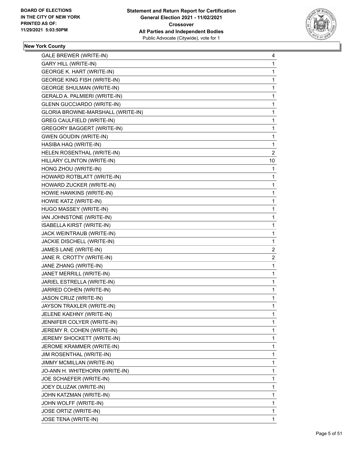

| GALE BREWER (WRITE-IN)             | 4              |
|------------------------------------|----------------|
| <b>GARY HILL (WRITE-IN)</b>        | 1              |
| <b>GEORGE K. HART (WRITE-IN)</b>   | 1              |
| <b>GEORGE KING FISH (WRITE-IN)</b> | 1              |
| <b>GEORGE SHULMAN (WRITE-IN)</b>   | 1              |
| GERALD A. PALMIERI (WRITE-IN)      | 1              |
| <b>GLENN GUCCIARDO (WRITE-IN)</b>  | 1              |
| GLORIA BROWNE-MARSHALL (WRITE-IN)  | 1              |
| GREG CAULFIELD (WRITE-IN)          | 1              |
| <b>GREGORY BAGGERT (WRITE-IN)</b>  | 1              |
| <b>GWEN GOUDIN (WRITE-IN)</b>      | 1              |
| HASIBA HAQ (WRITE-IN)              | 1              |
| HELEN ROSENTHAL (WRITE-IN)         | $\overline{2}$ |
| HILLARY CLINTON (WRITE-IN)         | 10             |
| HONG ZHOU (WRITE-IN)               | 1              |
| HOWARD ROTBLATT (WRITE-IN)         | 1              |
| HOWARD ZUCKER (WRITE-IN)           | 1              |
| HOWIE HAWKINS (WRITE-IN)           | 1              |
| HOWIE KATZ (WRITE-IN)              | 1              |
| HUGO MASSEY (WRITE-IN)             | 1              |
| IAN JOHNSTONE (WRITE-IN)           | 1              |
| ISABELLA KIRST (WRITE-IN)          | 1              |
| JACK WEINTRAUB (WRITE-IN)          | 1              |
| JACKIE DISCHELL (WRITE-IN)         | 1              |
| JAMES LANE (WRITE-IN)              | 2              |
| JANE R. CROTTY (WRITE-IN)          | $\overline{c}$ |
| JANE ZHANG (WRITE-IN)              | 1              |
| JANET MERRILL (WRITE-IN)           | 1              |
| JARIEL ESTRELLA (WRITE-IN)         | 1              |
| JARRED COHEN (WRITE-IN)            | 1              |
| JASON CRUZ (WRITE-IN)              | 1              |
| JAYSON TRAXLER (WRITE-IN)          | 1              |
| JELENE KAEHNY (WRITE-IN)           | 1              |
| JENNIFER COLYER (WRITE-IN)         | 1              |
| JEREMY R. COHEN (WRITE-IN)         | 1              |
| JEREMY SHOCKETT (WRITE-IN)         | 1              |
| JEROME KRAMMER (WRITE-IN)          | 1              |
| JIM ROSENTHAL (WRITE-IN)           | 1              |
| JIMMY MCMILLAN (WRITE-IN)          | 1              |
| JO-ANN H. WHITEHORN (WRITE-IN)     | 1              |
| JOE SCHAEFER (WRITE-IN)            | 1              |
| JOEY DLUZAK (WRITE-IN)             | 1              |
| JOHN KATZMAN (WRITE-IN)            | 1              |
| JOHN WOLFF (WRITE-IN)              | 1              |
| JOSE ORTIZ (WRITE-IN)              | 1              |
| JOSE TENA (WRITE-IN)               | 1              |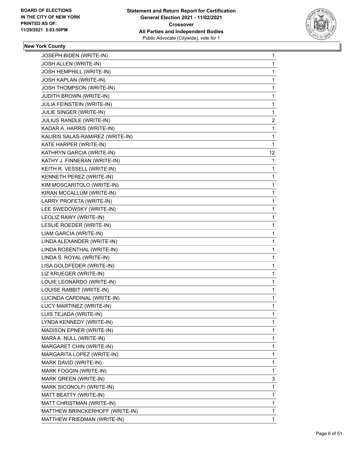

| JOSEPH BIDEN (WRITE-IN)          | 1              |
|----------------------------------|----------------|
| JOSH ALLEN (WRITE-IN)            | 1              |
| JOSH HEMPHILL (WRITE-IN)         | 1              |
| JOSH KAPLAN (WRITE-IN)           | 1              |
| JOSH THOMPSON (WRITE-IN)         | 1              |
| <b>JUDITH BROWN (WRITE-IN)</b>   | 1              |
| JULIA FEINSTEIN (WRITE-IN)       | 1              |
| JULIE SINGER (WRITE-IN)          | 1              |
| JULIUS RANDLE (WRITE-IN)         | $\overline{c}$ |
| KADAR A. HARRIS (WRITE-IN)       | 1              |
| KALIRIS SALAS-RAMIREZ (WRITE-IN) | 1              |
| KATE HARPER (WRITE-IN)           | 1              |
| KATHRYN GARCIA (WRITE-IN)        | 12             |
| KATHY J. FINNERAN (WRITE-IN)     | 1              |
| KEITH R. VESSELL (WRITE-IN)      | 1              |
| KENNETH PEREZ (WRITE-IN)         | 1              |
| KIM MOSCARITOLO (WRITE-IN)       | 1              |
| KIRAN MCCALLUM (WRITE-IN)        | 1              |
| LARRY PROFETA (WRITE-IN)         | 1              |
| LEE SWEDOWSKY (WRITE-IN)         | 1              |
| LEOLIZ RAWY (WRITE-IN)           | 1              |
| LESLIE ROEDER (WRITE-IN)         | 1              |
| LIAM GARCIA (WRITE-IN)           | 1              |
| LINDA ALEXANDER (WRITE-IN)       | 1              |
| LINDA ROSENTHAL (WRITE-IN)       | 1              |
| LINDA S. ROYAL (WRITE-IN)        | 1              |
| LISA GOLDFEDER (WRITE-IN)        | 1              |
| LIZ KRUEGER (WRITE-IN)           | 1              |
| LOUIE LEONARDO (WRITE-IN)        | 1              |
| LOUISE RABBIT (WRITE-IN)         | $\mathbf{1}$   |
| LUCINDA CARDINAL (WRITE-IN)      | 1              |
| LUCY MARTINEZ (WRITE-IN)         | 1              |
| LUIS TEJADA (WRITE-IN)           | 1              |
| LYNDA KENNEDY (WRITE-IN)         | 1              |
| MADISON EPNER (WRITE-IN)         | 1              |
| MARA A. NULL (WRITE-IN)          | 1              |
| MARGARET CHIN (WRITE-IN)         | 1              |
| MARGARITA LOPEZ (WRITE-IN)       | 1              |
| MARK DAVID (WRITE-IN)            | 1              |
| MARK FOGGIN (WRITE-IN)           | 1              |
| MARK GREEN (WRITE-IN)            | 3              |
| MARK SICONOLFI (WRITE-IN)        | 1              |
| MATT BEATTY (WRITE-IN)           | 1              |
| MATT CHRISTMAN (WRITE-IN)        | 1              |
| MATTHEW BRINCKERHOFF (WRITE-IN)  | 1              |
| MATTHEW FRIEDMAN (WRITE-IN)      | $\mathbf{1}$   |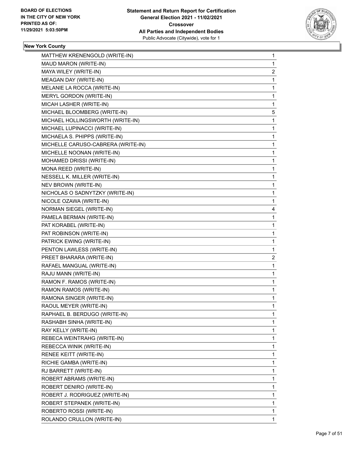

| $\mathbf{1}$ |
|--------------|
| 1            |
| 2            |
| 1            |
| 1            |
| 1            |
| 1            |
| 5            |
| 1            |
| 1            |
| $\mathbf 1$  |
| 1            |
| 1            |
| 1            |
| 1            |
| 1            |
| $\mathbf 1$  |
| 1            |
| 1            |
| 4            |
| 1            |
| 1            |
| $\mathbf 1$  |
| 1            |
| 1            |
| 2            |
| 1            |
| 1            |
| 1            |
| 1            |
| 1            |
| $\mathbf{1}$ |
| 1            |
| 1            |
| 1            |
| 1            |
|              |
| 1            |
| $\mathbf{1}$ |
| 1            |
| 1            |
| 1            |
| 1            |
| 1            |
| $\mathbf{1}$ |
| 1            |
|              |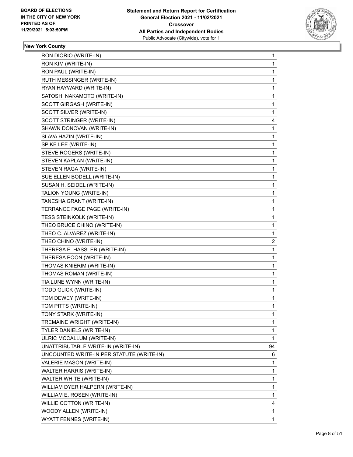

| RON KIM (WRITE-IN)<br>RON PAUL (WRITE-IN)<br>RUTH MESSINGER (WRITE-IN)<br>RYAN HAYWARD (WRITE-IN)<br>SATOSHI NAKAMOTO (WRITE-IN)<br>SCOTT GIRGASH (WRITE-IN)<br>SCOTT SILVER (WRITE-IN)<br>SCOTT STRINGER (WRITE-IN)<br>SHAWN DONOVAN (WRITE-IN)<br>SLAVA HAZIN (WRITE-IN)<br>SPIKE LEE (WRITE-IN)<br>STEVE ROGERS (WRITE-IN)<br>STEVEN KAPLAN (WRITE-IN)<br>STEVEN RAGA (WRITE-IN)<br>SUE ELLEN BODELL (WRITE-IN)<br>SUSAN H. SEIDEL (WRITE-IN)<br>TALION YOUNG (WRITE-IN)<br>TANESHA GRANT (WRITE-IN)<br>TERRANCE PAGE PAGE (WRITE-IN)<br>TESS STEINKOLK (WRITE-IN)<br>THEO BRUCE CHINO (WRITE-IN)<br>THEO C. ALVAREZ (WRITE-IN)<br>THEO CHINO (WRITE-IN)<br>THERESA E. HASSLER (WRITE-IN)<br>THERESA POON (WRITE-IN)<br>THOMAS KNIERIM (WRITE-IN)<br>THOMAS ROMAN (WRITE-IN)<br>TIA LUNE WYNN (WRITE-IN)<br>TODD GLICK (WRITE-IN)<br>TOM DEWEY (WRITE-IN)<br>TOM PITTS (WRITE-IN)<br>TONY STARK (WRITE-IN)<br>TREMAINE WRIGHT (WRITE-IN)<br>TYLER DANIELS (WRITE-IN)<br>ULRIC MCCALLUM (WRITE-IN)<br>UNATTRIBUTABLE WRITE-IN (WRITE-IN)<br>UNCOUNTED WRITE-IN PER STATUTE (WRITE-IN)<br>VALERIE MASON (WRITE-IN)<br>WALTER HARRIS (WRITE-IN)<br>WALTER WHITE (WRITE-IN)<br>WILLIAM DYER HALPERN (WRITE-IN)<br>WILLIAM E. ROSEN (WRITE-IN)<br>WILLIE COTTON (WRITE-IN)<br>WOODY ALLEN (WRITE-IN) | RON DIORIO (WRITE-IN)   | 1                       |
|----------------------------------------------------------------------------------------------------------------------------------------------------------------------------------------------------------------------------------------------------------------------------------------------------------------------------------------------------------------------------------------------------------------------------------------------------------------------------------------------------------------------------------------------------------------------------------------------------------------------------------------------------------------------------------------------------------------------------------------------------------------------------------------------------------------------------------------------------------------------------------------------------------------------------------------------------------------------------------------------------------------------------------------------------------------------------------------------------------------------------------------------------------------------------------------------------------------------------------------------------------------------------------------------------|-------------------------|-------------------------|
|                                                                                                                                                                                                                                                                                                                                                                                                                                                                                                                                                                                                                                                                                                                                                                                                                                                                                                                                                                                                                                                                                                                                                                                                                                                                                                    |                         | 1                       |
|                                                                                                                                                                                                                                                                                                                                                                                                                                                                                                                                                                                                                                                                                                                                                                                                                                                                                                                                                                                                                                                                                                                                                                                                                                                                                                    |                         | 1                       |
|                                                                                                                                                                                                                                                                                                                                                                                                                                                                                                                                                                                                                                                                                                                                                                                                                                                                                                                                                                                                                                                                                                                                                                                                                                                                                                    |                         | $\mathbf{1}$            |
|                                                                                                                                                                                                                                                                                                                                                                                                                                                                                                                                                                                                                                                                                                                                                                                                                                                                                                                                                                                                                                                                                                                                                                                                                                                                                                    |                         | 1                       |
|                                                                                                                                                                                                                                                                                                                                                                                                                                                                                                                                                                                                                                                                                                                                                                                                                                                                                                                                                                                                                                                                                                                                                                                                                                                                                                    |                         | $\mathbf 1$             |
|                                                                                                                                                                                                                                                                                                                                                                                                                                                                                                                                                                                                                                                                                                                                                                                                                                                                                                                                                                                                                                                                                                                                                                                                                                                                                                    |                         | $\mathbf 1$             |
|                                                                                                                                                                                                                                                                                                                                                                                                                                                                                                                                                                                                                                                                                                                                                                                                                                                                                                                                                                                                                                                                                                                                                                                                                                                                                                    |                         | $\mathbf{1}$            |
|                                                                                                                                                                                                                                                                                                                                                                                                                                                                                                                                                                                                                                                                                                                                                                                                                                                                                                                                                                                                                                                                                                                                                                                                                                                                                                    |                         | 4                       |
|                                                                                                                                                                                                                                                                                                                                                                                                                                                                                                                                                                                                                                                                                                                                                                                                                                                                                                                                                                                                                                                                                                                                                                                                                                                                                                    |                         | $\mathbf{1}$            |
|                                                                                                                                                                                                                                                                                                                                                                                                                                                                                                                                                                                                                                                                                                                                                                                                                                                                                                                                                                                                                                                                                                                                                                                                                                                                                                    |                         | 1                       |
|                                                                                                                                                                                                                                                                                                                                                                                                                                                                                                                                                                                                                                                                                                                                                                                                                                                                                                                                                                                                                                                                                                                                                                                                                                                                                                    |                         | $\mathbf 1$             |
|                                                                                                                                                                                                                                                                                                                                                                                                                                                                                                                                                                                                                                                                                                                                                                                                                                                                                                                                                                                                                                                                                                                                                                                                                                                                                                    |                         | $\mathbf 1$             |
|                                                                                                                                                                                                                                                                                                                                                                                                                                                                                                                                                                                                                                                                                                                                                                                                                                                                                                                                                                                                                                                                                                                                                                                                                                                                                                    |                         | 1                       |
|                                                                                                                                                                                                                                                                                                                                                                                                                                                                                                                                                                                                                                                                                                                                                                                                                                                                                                                                                                                                                                                                                                                                                                                                                                                                                                    |                         | 1                       |
|                                                                                                                                                                                                                                                                                                                                                                                                                                                                                                                                                                                                                                                                                                                                                                                                                                                                                                                                                                                                                                                                                                                                                                                                                                                                                                    |                         | $\mathbf{1}$            |
|                                                                                                                                                                                                                                                                                                                                                                                                                                                                                                                                                                                                                                                                                                                                                                                                                                                                                                                                                                                                                                                                                                                                                                                                                                                                                                    |                         | 1                       |
|                                                                                                                                                                                                                                                                                                                                                                                                                                                                                                                                                                                                                                                                                                                                                                                                                                                                                                                                                                                                                                                                                                                                                                                                                                                                                                    |                         | $\mathbf 1$             |
|                                                                                                                                                                                                                                                                                                                                                                                                                                                                                                                                                                                                                                                                                                                                                                                                                                                                                                                                                                                                                                                                                                                                                                                                                                                                                                    |                         | 1                       |
|                                                                                                                                                                                                                                                                                                                                                                                                                                                                                                                                                                                                                                                                                                                                                                                                                                                                                                                                                                                                                                                                                                                                                                                                                                                                                                    |                         | 1                       |
|                                                                                                                                                                                                                                                                                                                                                                                                                                                                                                                                                                                                                                                                                                                                                                                                                                                                                                                                                                                                                                                                                                                                                                                                                                                                                                    |                         | 1                       |
|                                                                                                                                                                                                                                                                                                                                                                                                                                                                                                                                                                                                                                                                                                                                                                                                                                                                                                                                                                                                                                                                                                                                                                                                                                                                                                    |                         | $\mathbf{1}$            |
|                                                                                                                                                                                                                                                                                                                                                                                                                                                                                                                                                                                                                                                                                                                                                                                                                                                                                                                                                                                                                                                                                                                                                                                                                                                                                                    |                         | $\mathbf 1$             |
|                                                                                                                                                                                                                                                                                                                                                                                                                                                                                                                                                                                                                                                                                                                                                                                                                                                                                                                                                                                                                                                                                                                                                                                                                                                                                                    |                         | $\overline{\mathbf{c}}$ |
|                                                                                                                                                                                                                                                                                                                                                                                                                                                                                                                                                                                                                                                                                                                                                                                                                                                                                                                                                                                                                                                                                                                                                                                                                                                                                                    |                         | 1                       |
|                                                                                                                                                                                                                                                                                                                                                                                                                                                                                                                                                                                                                                                                                                                                                                                                                                                                                                                                                                                                                                                                                                                                                                                                                                                                                                    |                         | 1                       |
|                                                                                                                                                                                                                                                                                                                                                                                                                                                                                                                                                                                                                                                                                                                                                                                                                                                                                                                                                                                                                                                                                                                                                                                                                                                                                                    |                         | 1                       |
|                                                                                                                                                                                                                                                                                                                                                                                                                                                                                                                                                                                                                                                                                                                                                                                                                                                                                                                                                                                                                                                                                                                                                                                                                                                                                                    |                         | $\mathbf 1$             |
|                                                                                                                                                                                                                                                                                                                                                                                                                                                                                                                                                                                                                                                                                                                                                                                                                                                                                                                                                                                                                                                                                                                                                                                                                                                                                                    |                         | 1                       |
|                                                                                                                                                                                                                                                                                                                                                                                                                                                                                                                                                                                                                                                                                                                                                                                                                                                                                                                                                                                                                                                                                                                                                                                                                                                                                                    |                         | $\mathbf 1$             |
|                                                                                                                                                                                                                                                                                                                                                                                                                                                                                                                                                                                                                                                                                                                                                                                                                                                                                                                                                                                                                                                                                                                                                                                                                                                                                                    |                         | $\mathbf 1$             |
|                                                                                                                                                                                                                                                                                                                                                                                                                                                                                                                                                                                                                                                                                                                                                                                                                                                                                                                                                                                                                                                                                                                                                                                                                                                                                                    |                         | 1                       |
|                                                                                                                                                                                                                                                                                                                                                                                                                                                                                                                                                                                                                                                                                                                                                                                                                                                                                                                                                                                                                                                                                                                                                                                                                                                                                                    |                         | 1                       |
|                                                                                                                                                                                                                                                                                                                                                                                                                                                                                                                                                                                                                                                                                                                                                                                                                                                                                                                                                                                                                                                                                                                                                                                                                                                                                                    |                         | 1                       |
|                                                                                                                                                                                                                                                                                                                                                                                                                                                                                                                                                                                                                                                                                                                                                                                                                                                                                                                                                                                                                                                                                                                                                                                                                                                                                                    |                         | 1                       |
|                                                                                                                                                                                                                                                                                                                                                                                                                                                                                                                                                                                                                                                                                                                                                                                                                                                                                                                                                                                                                                                                                                                                                                                                                                                                                                    |                         | 1                       |
|                                                                                                                                                                                                                                                                                                                                                                                                                                                                                                                                                                                                                                                                                                                                                                                                                                                                                                                                                                                                                                                                                                                                                                                                                                                                                                    |                         | 94                      |
|                                                                                                                                                                                                                                                                                                                                                                                                                                                                                                                                                                                                                                                                                                                                                                                                                                                                                                                                                                                                                                                                                                                                                                                                                                                                                                    |                         | 6                       |
|                                                                                                                                                                                                                                                                                                                                                                                                                                                                                                                                                                                                                                                                                                                                                                                                                                                                                                                                                                                                                                                                                                                                                                                                                                                                                                    |                         | 1                       |
|                                                                                                                                                                                                                                                                                                                                                                                                                                                                                                                                                                                                                                                                                                                                                                                                                                                                                                                                                                                                                                                                                                                                                                                                                                                                                                    |                         | 1                       |
|                                                                                                                                                                                                                                                                                                                                                                                                                                                                                                                                                                                                                                                                                                                                                                                                                                                                                                                                                                                                                                                                                                                                                                                                                                                                                                    |                         | 1                       |
|                                                                                                                                                                                                                                                                                                                                                                                                                                                                                                                                                                                                                                                                                                                                                                                                                                                                                                                                                                                                                                                                                                                                                                                                                                                                                                    |                         | 1                       |
|                                                                                                                                                                                                                                                                                                                                                                                                                                                                                                                                                                                                                                                                                                                                                                                                                                                                                                                                                                                                                                                                                                                                                                                                                                                                                                    |                         | $\mathbf{1}$            |
|                                                                                                                                                                                                                                                                                                                                                                                                                                                                                                                                                                                                                                                                                                                                                                                                                                                                                                                                                                                                                                                                                                                                                                                                                                                                                                    |                         | 4                       |
|                                                                                                                                                                                                                                                                                                                                                                                                                                                                                                                                                                                                                                                                                                                                                                                                                                                                                                                                                                                                                                                                                                                                                                                                                                                                                                    |                         | $\mathbf{1}$            |
|                                                                                                                                                                                                                                                                                                                                                                                                                                                                                                                                                                                                                                                                                                                                                                                                                                                                                                                                                                                                                                                                                                                                                                                                                                                                                                    | WYATT FENNES (WRITE-IN) | $\mathbf{1}$            |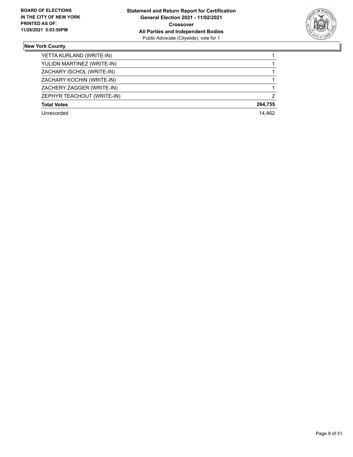

| YETTA KURLAND (WRITE-IN)   |               |
|----------------------------|---------------|
| YULIDN MARTINEZ (WRITE-IN) |               |
| ZACHARY ISCHOL (WRITE-IN)  |               |
| ZACHARY KOCHIN (WRITE-IN)  |               |
| ZACHERY ZAGGER (WRITE-IN)  |               |
| ZEPHYR TEACHOUT (WRITE-IN) | $\mathcal{P}$ |
| <b>Total Votes</b>         | 264,755       |
| Unrecorded                 | 14.462        |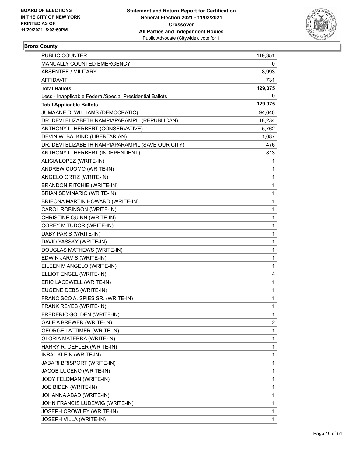

# **Bronx County**

| <b>PUBLIC COUNTER</b>                                    | 119,351 |
|----------------------------------------------------------|---------|
| <b>MANUALLY COUNTED EMERGENCY</b>                        | 0       |
| ABSENTEE / MILITARY                                      | 8,993   |
| <b>AFFIDAVIT</b>                                         | 731     |
| <b>Total Ballots</b>                                     | 129,075 |
| Less - Inapplicable Federal/Special Presidential Ballots | 0       |
| <b>Total Applicable Ballots</b>                          | 129,075 |
| JUMAANE D. WILLIAMS (DEMOCRATIC)                         | 94,640  |
| DR. DEVI ELIZABETH NAMPIAPARAMPIL (REPUBLICAN)           | 18,234  |
| ANTHONY L. HERBERT (CONSERVATIVE)                        | 5,762   |
| DEVIN W. BALKIND (LIBERTARIAN)                           | 1,087   |
| DR. DEVI ELIZABETH NAMPIAPARAMPIL (SAVE OUR CITY)        | 476     |
| ANTHONY L. HERBERT (INDEPENDENT)                         | 813     |
| ALICIA LOPEZ (WRITE-IN)                                  | 1       |
| ANDREW CUOMO (WRITE-IN)                                  | 1       |
| ANGELO ORTIZ (WRITE-IN)                                  | 1       |
| <b>BRANDON RITCHIE (WRITE-IN)</b>                        | 1       |
| BRIAN SEMINARIO (WRITE-IN)                               | 1       |
| BRIEONA MARTIN HOWARD (WRITE-IN)                         | 1       |
| CAROL ROBINSON (WRITE-IN)                                | 1       |
| CHRISTINE QUINN (WRITE-IN)                               | 1       |
| COREY M TUDOR (WRITE-IN)                                 | 1       |
| DABY PARIS (WRITE-IN)                                    | 1       |
| DAVID YASSKY (WRITE-IN)                                  | 1       |
| DOUGLAS MATHEWS (WRITE-IN)                               | 1       |
| EDWIN JARVIS (WRITE-IN)                                  | 1       |
| EILEEN M ANGELO (WRITE-IN)                               | 1       |
| ELLIOT ENGEL (WRITE-IN)                                  | 4       |
| ERIC LACEWELL (WRITE-IN)                                 | 1       |
| EUGENE DEBS (WRITE-IN)                                   | 1       |
| FRANCISCO A. SPIES SR. (WRITE-IN)                        | 1       |
| FRANK REYES (WRITE-IN)                                   | 1       |
| FREDERIC GOLDEN (WRITE-IN)                               | 1       |
| GALE A BREWER (WRITE-IN)                                 | 2       |
| <b>GEORGE LATTIMER (WRITE-IN)</b>                        | 1       |
| GLORIA MATERRA (WRITE-IN)                                | 1       |
| HARRY R. OEHLER (WRITE-IN)                               | 1       |
| <b>INBAL KLEIN (WRITE-IN)</b>                            | 1       |
| <b>JABARI BRISPORT (WRITE-IN)</b>                        | 1       |
| JACOB LUCENO (WRITE-IN)                                  | 1       |
| JODY FELDMAN (WRITE-IN)                                  | 1       |
| JOE BIDEN (WRITE-IN)                                     | 1       |
| JOHANNA ABAD (WRITE-IN)                                  | 1       |
| JOHN FRANCIS LUDEWIG (WRITE-IN)                          | 1       |
| JOSEPH CROWLEY (WRITE-IN)                                | 1       |
| JOSEPH VILLA (WRITE-IN)                                  | 1       |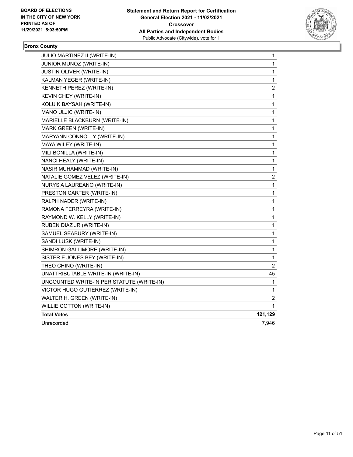

# **Bronx County**

| JULIO MARTINEZ II (WRITE-IN)              | 1           |
|-------------------------------------------|-------------|
| JUNIOR MUNOZ (WRITE-IN)                   | 1           |
| JUSTIN OLIVER (WRITE-IN)                  | 1           |
| KALMAN YEGER (WRITE-IN)                   | 1           |
| KENNETH PEREZ (WRITE-IN)                  | 2           |
| KEVIN CHEY (WRITE-IN)                     | 1           |
| KOLU K BAYSAH (WRITE-IN)                  | 1           |
| MANO ULJIC (WRITE-IN)                     | 1           |
| MARIELLE BLACKBURN (WRITE-IN)             | 1           |
| MARK GREEN (WRITE-IN)                     | 1           |
| MARYANN CONNOLLY (WRITE-IN)               | 1           |
| MAYA WILEY (WRITE-IN)                     | 1           |
| MILI BONILLA (WRITE-IN)                   | 1           |
| NANCI HEALY (WRITE-IN)                    | 1           |
| NASIR MUHAMMAD (WRITE-IN)                 | 1           |
| NATALIE GOMEZ VELEZ (WRITE-IN)            | 2           |
| NURYS A LAUREANO (WRITE-IN)               | $\mathbf 1$ |
| PRESTON CARTER (WRITE-IN)                 | $\mathbf 1$ |
| RALPH NADER (WRITE-IN)                    | 1           |
| RAMONA FERREYRA (WRITE-IN)                | 1           |
| RAYMOND W. KELLY (WRITE-IN)               | 1           |
| RUBEN DIAZ JR (WRITE-IN)                  | 1           |
| SAMUEL SEABURY (WRITE-IN)                 | 1           |
| SANDI LUSK (WRITE-IN)                     | 1           |
| SHIMRON GALLIMORE (WRITE-IN)              | $\mathbf 1$ |
| SISTER E JONES BEY (WRITE-IN)             | 1           |
| THEO CHINO (WRITE-IN)                     | 2           |
| UNATTRIBUTABLE WRITE-IN (WRITE-IN)        | 45          |
| UNCOUNTED WRITE-IN PER STATUTE (WRITE-IN) | 1           |
| VICTOR HUGO GUTIERREZ (WRITE-IN)          | 1           |
| WALTER H. GREEN (WRITE-IN)                | 2           |
| <b>WILLIE COTTON (WRITE-IN)</b>           | 1           |
| <b>Total Votes</b>                        | 121,129     |
| Unrecorded                                | 7,946       |
|                                           |             |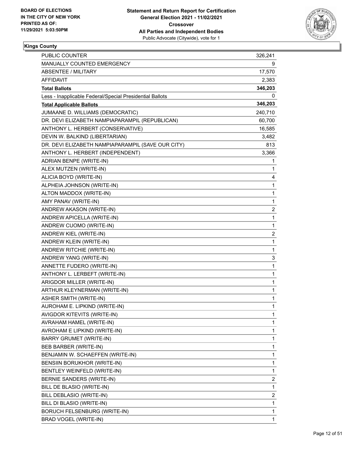

| PUBLIC COUNTER                                           | 326,241                 |
|----------------------------------------------------------|-------------------------|
| MANUALLY COUNTED EMERGENCY                               | 9                       |
| <b>ABSENTEE / MILITARY</b>                               | 17,570                  |
| AFFIDAVIT                                                | 2,383                   |
| <b>Total Ballots</b>                                     | 346,203                 |
| Less - Inapplicable Federal/Special Presidential Ballots | 0                       |
| <b>Total Applicable Ballots</b>                          | 346,203                 |
| JUMAANE D. WILLIAMS (DEMOCRATIC)                         | 240,710                 |
| DR. DEVI ELIZABETH NAMPIAPARAMPIL (REPUBLICAN)           | 60,700                  |
| ANTHONY L. HERBERT (CONSERVATIVE)                        | 16,585                  |
| DEVIN W. BALKIND (LIBERTARIAN)                           | 3,482                   |
| DR. DEVI ELIZABETH NAMPIAPARAMPIL (SAVE OUR CITY)        | 813                     |
| ANTHONY L. HERBERT (INDEPENDENT)                         | 3,366                   |
| ADRIAN BENPE (WRITE-IN)                                  | 1                       |
| ALEX MUTZEN (WRITE-IN)                                   | 1                       |
| ALICIA BOYD (WRITE-IN)                                   | 4                       |
| ALPHEIA JOHNSON (WRITE-IN)                               | 1                       |
| ALTON MADDOX (WRITE-IN)                                  | 1                       |
| AMY PANAV (WRITE-IN)                                     | 1                       |
| ANDREW AKASON (WRITE-IN)                                 | $\overline{\mathbf{c}}$ |
| ANDREW APICELLA (WRITE-IN)                               | 1                       |
| ANDREW CUOMO (WRITE-IN)                                  | 1                       |
| ANDREW KIEL (WRITE-IN)                                   | $\overline{\mathbf{c}}$ |
| ANDREW KLEIN (WRITE-IN)                                  | $\mathbf{1}$            |
| ANDREW RITCHIE (WRITE-IN)                                | 1                       |
| ANDREW YANG (WRITE-IN)                                   | 3                       |
| ANNETTE FUDERO (WRITE-IN)                                | 1                       |
| ANTHONY L. LERBEFT (WRITE-IN)                            | 1                       |
| ARIGDOR MILLER (WRITE-IN)                                | 1                       |
| ARTHUR KLEYNERMAN (WRITE-IN)                             | 1                       |
| ASHER SMITH (WRITE-IN)                                   | 1                       |
| AUROHAM E. LIPKIND (WRITE-IN)                            | 1                       |
| AVIGDOR KITEVITS (WRITE-IN)                              | 1                       |
| AVRAHAM HAMEL (WRITE-IN)                                 | 1                       |
| AVROHAM E LIPKIND (WRITE-IN)                             | 1                       |
| BARRY GRUMET (WRITE-IN)                                  | 1                       |
| BEB BARBER (WRITE-IN)                                    | 1                       |
| BENJAMIN W. SCHAEFFEN (WRITE-IN)                         | 1                       |
| BENSIIN BORUKHOR (WRITE-IN)                              | 1                       |
| BENTLEY WEINFELD (WRITE-IN)                              | 1                       |
| BERNIE SANDERS (WRITE-IN)                                | $\overline{\mathbf{c}}$ |
| BILL DE BLASIO (WRITE-IN)                                | 1                       |
| BILL DEBLASIO (WRITE-IN)                                 | $\overline{\mathbf{c}}$ |
| BILL DI BLASIO (WRITE-IN)                                | 1                       |
| <b>BORUCH FELSENBURG (WRITE-IN)</b>                      | 1                       |
| BRAD VOGEL (WRITE-IN)                                    | 1                       |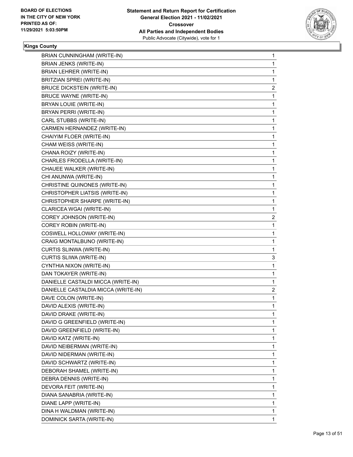

| BRIAN CUNNINGHAM (WRITE-IN)         | 1              |
|-------------------------------------|----------------|
| BRIAN JENKS (WRITE-IN)              | 1              |
| <b>BRIAN LEHRER (WRITE-IN)</b>      | 1              |
| BRITZIAN SPREI (WRITE-IN)           | 1              |
| <b>BRUCE DICKSTEIN (WRITE-IN)</b>   | 2              |
| <b>BRUCE WAYNE (WRITE-IN)</b>       | 1              |
| BRYAN LOUIE (WRITE-IN)              | 1              |
| BRYAN PERRI (WRITE-IN)              | 1              |
| CARL STUBBS (WRITE-IN)              | 1              |
| CARMEN HERNANDEZ (WRITE-IN)         | 1              |
| CHAIYIM FLOER (WRITE-IN)            | 1              |
| CHAM WEISS (WRITE-IN)               | 1              |
| CHANA ROIZY (WRITE-IN)              | 1              |
| CHARLES FRODELLA (WRITE-IN)         | 1              |
| CHAUEE WALKER (WRITE-IN)            | 1              |
| CHI ANUNWA (WRITE-IN)               | 1              |
| CHRISTINE QUINONES (WRITE-IN)       | 1              |
| CHRISTOPHER LIATSIS (WRITE-IN)      | 1              |
| CHRISTOPHER SHARPE (WRITE-IN)       | 1              |
| CLARICEA WGAI (WRITE-IN)            | 1              |
| COREY JOHNSON (WRITE-IN)            | $\overline{c}$ |
| COREY ROBIN (WRITE-IN)              | 1              |
| COSWELL HOLLOWAY (WRITE-IN)         | 1              |
| CRAIG MONTALBUNO (WRITE-IN)         | 1              |
| CURTIS SLINWA (WRITE-IN)            | 1              |
| CURTIS SLIWA (WRITE-IN)             | 3              |
| CYNTHIA NIXON (WRITE-IN)            | 1              |
| DAN TOKAYER (WRITE-IN)              | 1              |
| DANIELLE CASTALDI MICCA (WRITE-IN)  | 1              |
| DANIELLE CASTALDIA MICCA (WRITE-IN) | $\overline{c}$ |
| DAVE COLON (WRITE-IN)               | 1              |
| DAVID ALEXIS (WRITE-IN)             | 1              |
| DAVID DRAKE (WRITE-IN)              | 1              |
| DAVID G GREENFIELD (WRITE-IN)       | 1              |
| DAVID GREENFIELD (WRITE-IN)         | 1              |
| DAVID KATZ (WRITE-IN)               | 1              |
| DAVID NEIBERMAN (WRITE-IN)          | 1              |
| DAVID NIDERMAN (WRITE-IN)           | 1              |
| DAVID SCHWARTZ (WRITE-IN)           | 1              |
| DEBORAH SHAMEL (WRITE-IN)           | 1              |
| DEBRA DENNIS (WRITE-IN)             | 1              |
| DEVORA FEIT (WRITE-IN)              | 1              |
| DIANA SANABRIA (WRITE-IN)           | 1              |
| DIANE LAPP (WRITE-IN)               | 1              |
| DINA H WALDMAN (WRITE-IN)           | 1              |
| DOMINICK SARTA (WRITE-IN)           | $\mathbf{1}$   |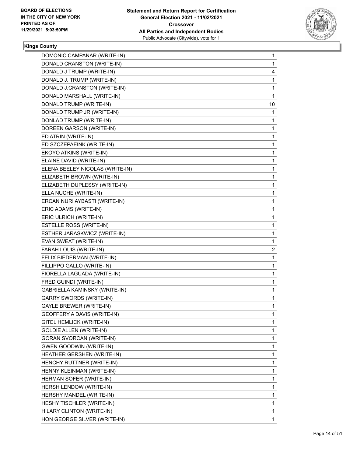

| DOMONIC CAMPANAR (WRITE-IN)     | 1            |
|---------------------------------|--------------|
| DONALD CRANSTON (WRITE-IN)      | 1            |
| DONALD J TRUMP (WRITE-IN)       | 4            |
| DONALD J. TRUMP (WRITE-IN)      | 1            |
| DONALD J.CRANSTON (WRITE-IN)    | 1            |
| DONALD MARSHALL (WRITE-IN)      | 1            |
| DONALD TRUMP (WRITE-IN)         | 10           |
| DONALD TRUMP JR (WRITE-IN)      | 1            |
| DONLAD TRUMP (WRITE-IN)         | 1            |
| DOREEN GARSON (WRITE-IN)        | 1            |
| ED ATRIN (WRITE-IN)             | 1            |
| ED SZCZEPAEINK (WRITE-IN)       | 1            |
| EKOYO ATKINS (WRITE-IN)         | 1            |
| ELAINE DAVID (WRITE-IN)         | 1            |
| ELENA BEELEY NICOLAS (WRITE-IN) | 1            |
| ELIZABETH BROWN (WRITE-IN)      | 1            |
| ELIZABETH DUPLESSY (WRITE-IN)   | 1            |
| ELLA NUCHE (WRITE-IN)           | 1            |
| ERCAN NURI AYBASTI (WRITE-IN)   | 1            |
| ERIC ADAMS (WRITE-IN)           | 1            |
| ERIC ULRICH (WRITE-IN)          | 1            |
| ESTELLE ROSS (WRITE-IN)         | $\mathbf{1}$ |
| ESTHER JARASKWICZ (WRITE-IN)    | 1            |
| EVAN SWEAT (WRITE-IN)           | 1            |
| FARAH LOUIS (WRITE-IN)          | 2            |
| FELIX BIEDERMAN (WRITE-IN)      | 1            |
| FILLIPPO GALLO (WRITE-IN)       | 1            |
| FIORELLA LAGUADA (WRITE-IN)     | $\mathbf{1}$ |
| FRED GUINDI (WRITE-IN)          | 1            |
| GABRIELLA KAMINSKY (WRITE-IN)   | 1            |
| <b>GARRY SWORDS (WRITE-IN)</b>  | 1            |
| <b>GAYLE BREWER (WRITE-IN)</b>  | 1            |
| GEOFFERY A DAVIS (WRITE-IN)     | 1            |
| <b>GITEL HEMLICK (WRITE-IN)</b> | 1            |
| <b>GOLDIE ALLEN (WRITE-IN)</b>  | 1            |
| <b>GORAN SVORCAN (WRITE-IN)</b> | 1            |
| <b>GWEN GOODWIN (WRITE-IN)</b>  | $\mathbf{1}$ |
| HEATHER GERSHEN (WRITE-IN)      | 1            |
| HENCHY RUTTNER (WRITE-IN)       | 1            |
| HENNY KLEINMAN (WRITE-IN)       | 1            |
| HERMAN SOFER (WRITE-IN)         | 1            |
| HERSH LENDOW (WRITE-IN)         | 1            |
| HERSHY MANDEL (WRITE-IN)        | 1            |
| HESHY TISCHLER (WRITE-IN)       | 1            |
| HILARY CLINTON (WRITE-IN)       | 1            |
| HON GEORGE SILVER (WRITE-IN)    | $\mathbf{1}$ |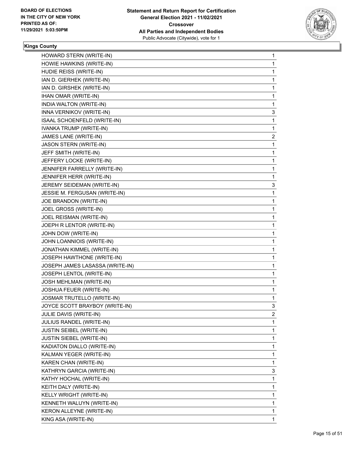

| HOWARD STERN (WRITE-IN)         | 1 |
|---------------------------------|---|
| HOWIE HAWKINS (WRITE-IN)        | 1 |
| HUDIE REISS (WRITE-IN)          | 1 |
| IAN D. GIERHEK (WRITE-IN)       | 1 |
| IAN D. GIRSHEK (WRITE-IN)       | 1 |
| IHAN OMAR (WRITE-IN)            | 1 |
| INDIA WALTON (WRITE-IN)         | 1 |
| INNA VERNIKOV (WRITE-IN)        | 3 |
| ISAAL SCHOENFELD (WRITE-IN)     | 1 |
| IVANKA TRUMP (WRITE-IN)         | 1 |
| JAMES LANE (WRITE-IN)           | 2 |
| <b>JASON STERN (WRITE-IN)</b>   | 1 |
| JEFF SMITH (WRITE-IN)           | 1 |
| JEFFERY LOCKE (WRITE-IN)        | 1 |
| JENNIFER FARRELLY (WRITE-IN)    | 1 |
| JENNIFER HERR (WRITE-IN)        | 1 |
| JEREMY SEIDEMAN (WRITE-IN)      | 3 |
| JESSIE M. FERGUSAN (WRITE-IN)   | 1 |
| JOE BRANDON (WRITE-IN)          | 1 |
| JOEL GROSS (WRITE-IN)           | 1 |
| JOEL REISMAN (WRITE-IN)         | 1 |
| JOEPH R LENTOR (WRITE-IN)       | 1 |
| JOHN DOW (WRITE-IN)             | 1 |
| JOHN LOANNIOIS (WRITE-IN)       | 1 |
| JONATHAN KIMMEL (WRITE-IN)      | 1 |
| JOSEPH HAWTHONE (WRITE-IN)      | 1 |
| JOSEPH JAMES LASASSA (WRITE-IN) | 1 |
| JOSEPH LENTOL (WRITE-IN)        | 1 |
| JOSH MEHLMAN (WRITE-IN)         | 1 |
| JOSHUA FEUER (WRITE-IN)         | 1 |
| JOSMAR TRUTELLO (WRITE-IN)      | 1 |
| JOYCE SCOTT BRAYBOY (WRITE-IN)  | 3 |
| JULIE DAVIS (WRITE-IN)          | 2 |
| JULIUS RANDEL (WRITE-IN)        | 1 |
| <b>JUSTIN SEIBEL (WRITE-IN)</b> | 1 |
| <b>JUSTIN SIEBEL (WRITE-IN)</b> | 1 |
| KADIATON DIALLO (WRITE-IN)      | 1 |
| KALMAN YEGER (WRITE-IN)         | 1 |
| KAREN CHAN (WRITE-IN)           | 1 |
| KATHRYN GARCIA (WRITE-IN)       | 3 |
| KATHY HOCHAL (WRITE-IN)         | 1 |
| KEITH DALY (WRITE-IN)           | 1 |
| KELLY WRIGHT (WRITE-IN)         | 1 |
| KENNETH WALUYN (WRITE-IN)       | 1 |
| KERON ALLEYNE (WRITE-IN)        | 1 |
| KING ASA (WRITE-IN)             | 1 |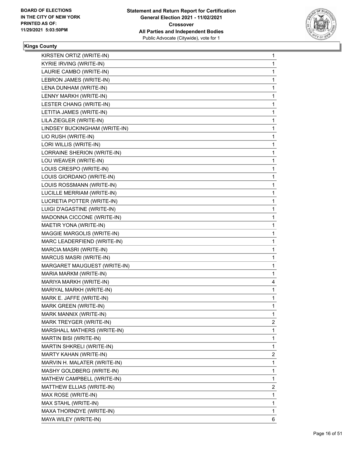

| KIRSTEN ORTIZ (WRITE-IN)       | 1              |
|--------------------------------|----------------|
| <b>KYRIE IRVING (WRITE-IN)</b> | $\mathbf{1}$   |
| LAURIE CAMBO (WRITE-IN)        | 1              |
| LEBRON JAMES (WRITE-IN)        | 1              |
| LENA DUNHAM (WRITE-IN)         | 1              |
| LENNY MARKH (WRITE-IN)         | 1              |
| LESTER CHANG (WRITE-IN)        | 1              |
| LETITIA JAMES (WRITE-IN)       | $\mathbf{1}$   |
| LILA ZIEGLER (WRITE-IN)        | 1              |
| LINDSEY BUCKINGHAM (WRITE-IN)  | 1              |
| LIO RUSH (WRITE-IN)            | 1              |
| LORI WILLIS (WRITE-IN)         | 1              |
| LORRAINE SHERION (WRITE-IN)    | 1              |
| LOU WEAVER (WRITE-IN)          | $\mathbf{1}$   |
| LOUIS CRESPO (WRITE-IN)        | 1              |
| LOUIS GIORDANO (WRITE-IN)      | 1              |
| LOUIS ROSSMANN (WRITE-IN)      | 1              |
| LUCILLE MERRIAM (WRITE-IN)     | 1              |
| LUCRETIA POTTER (WRITE-IN)     | 1              |
| LUIGI D'AGASTINE (WRITE-IN)    | $\mathbf{1}$   |
| MADONNA CICCONE (WRITE-IN)     | 1              |
| MAETIR YONA (WRITE-IN)         | 1              |
| MAGGIE MARGOLIS (WRITE-IN)     | 1              |
| MARC LEADERFIEND (WRITE-IN)    | 1              |
| MARCIA MASRI (WRITE-IN)        | 1              |
| MARCUS MASRI (WRITE-IN)        | $\mathbf{1}$   |
| MARGARET MAUGUEST (WRITE-IN)   | 1              |
| MARIA MARKM (WRITE-IN)         | 1              |
| MARIYA MARKH (WRITE-IN)        | 4              |
| MARIYAL MARKH (WRITE-IN)       | 1              |
| MARK E. JAFFE (WRITE-IN)       | 1              |
| MARK GREEN (WRITE-IN)          | 1              |
| MARK MANNIX (WRITE-IN)         | 1              |
| MARK TREYGER (WRITE-IN)        | $\overline{2}$ |
| MARSHALL MATHERS (WRITE-IN)    | 1              |
| MARTIN BISI (WRITE-IN)         | 1              |
| MARTIN SHKRELI (WRITE-IN)      | 1              |
| MARTY KAHAN (WRITE-IN)         | 2              |
| MARVIN H. MALATER (WRITE-IN)   | 1              |
| MASHY GOLDBERG (WRITE-IN)      | 1              |
| MATHEW CAMPBELL (WRITE-IN)     | 1              |
| MATTHEW ELLIAS (WRITE-IN)      | 2              |
| MAX ROSE (WRITE-IN)            | 1              |
| MAX STAHL (WRITE-IN)           | 1              |
| MAXA THORNDYE (WRITE-IN)       | 1              |
| MAYA WILEY (WRITE-IN)          | 6.             |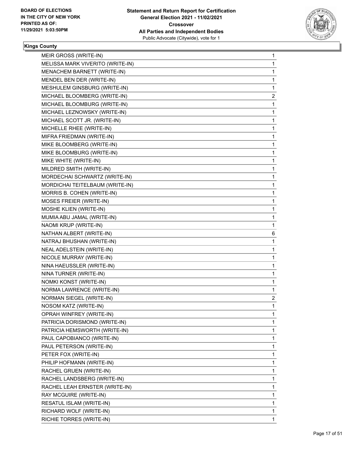

| MEIR GROSS (WRITE-IN)            | 1              |
|----------------------------------|----------------|
| MELISSA MARK VIVERITO (WRITE-IN) | 1              |
| MENACHEM BARNETT (WRITE-IN)      | 1              |
| MENDEL BEN DER (WRITE-IN)        | 1              |
| MESHULEM GINSBURG (WRITE-IN)     | 1              |
| MICHAEL BLOOMBERG (WRITE-IN)     | 2              |
| MICHAEL BLOOMBURG (WRITE-IN)     | 1              |
| MICHAEL LEZNOWSKY (WRITE-IN)     | 1              |
| MICHAEL SCOTT JR. (WRITE-IN)     | 1              |
| MICHELLE RHEE (WRITE-IN)         | 1              |
| MIFRA FRIEDMAN (WRITE-IN)        | 1              |
| MIKE BLOOMBERG (WRITE-IN)        | 1              |
| MIKE BLOOMBURG (WRITE-IN)        | 1              |
| MIKE WHITE (WRITE-IN)            | 1              |
| MILDRED SMITH (WRITE-IN)         | 1              |
| MORDECHAI SCHWARTZ (WRITE-IN)    | 1              |
| MORDICHAI TEITELBAUM (WRITE-IN)  | 1              |
| MORRIS B. COHEN (WRITE-IN)       | 1              |
| MOSES FREIER (WRITE-IN)          | 1              |
| MOSHE KLIEN (WRITE-IN)           | 1              |
| MUMIA ABU JAMAL (WRITE-IN)       | 1              |
| NAOMI KRUP (WRITE-IN)            | 1              |
| NATHAN ALBERT (WRITE-IN)         | 6              |
| NATRAJ BHUSHAN (WRITE-IN)        | 1              |
| NEAL ADELSTEIN (WRITE-IN)        | 1              |
| NICOLE MURRAY (WRITE-IN)         | 1              |
| NINA HAEUSSLER (WRITE-IN)        | 1              |
| NINA TURNER (WRITE-IN)           | 1              |
| NOMKI KONST (WRITE-IN)           | 1              |
| NORMA LAWRENCE (WRITE-IN)        | 1              |
| NORMAN SIEGEL (WRITE-IN)         | $\overline{c}$ |
| NOSOM KATZ (WRITE-IN)            | 1              |
| OPRAH WINFREY (WRITE-IN)         | 1              |
| PATRICIA DORISMOND (WRITE-IN)    | 1              |
| PATRICIA HEMSWORTH (WRITE-IN)    | 1              |
| PAUL CAPOBIANCO (WRITE-IN)       | 1              |
| PAUL PETERSON (WRITE-IN)         | 1              |
| PETER FOX (WRITE-IN)             | 1              |
| PHILIP HOFMANN (WRITE-IN)        | 1              |
| RACHEL GRUEN (WRITE-IN)          | 1              |
| RACHEL LANDSBERG (WRITE-IN)      | 1              |
| RACHEL LEAH ERNSTER (WRITE-IN)   | 1              |
| RAY MCGUIRE (WRITE-IN)           | 1              |
| RESATUL ISLAM (WRITE-IN)         | 1              |
| RICHARD WOLF (WRITE-IN)          | 1              |
| RICHIE TORRES (WRITE-IN)         | 1              |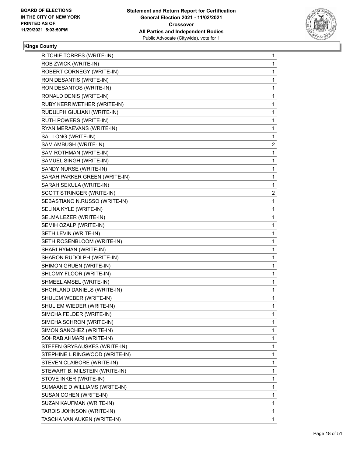

| RITCHIE TORRES (WRITE-IN)      | 1 |
|--------------------------------|---|
| ROB ZWICK (WRITE-IN)           | 1 |
| ROBERT CORNEGY (WRITE-IN)      | 1 |
| RON DESANTIS (WRITE-IN)        | 1 |
| RON DESANTOS (WRITE-IN)        | 1 |
| RONALD DENIS (WRITE-IN)        | 1 |
| RUBY KERRIWETHER (WRITE-IN)    | 1 |
| RUDULPH GIULIANI (WRITE-IN)    | 1 |
| RUTH POWERS (WRITE-IN)         | 1 |
| RYAN MERAEVANS (WRITE-IN)      | 1 |
| SAL LONG (WRITE-IN)            | 1 |
| SAM AMBUSH (WRITE-IN)          | 2 |
| SAM ROTHMAN (WRITE-IN)         | 1 |
| SAMUEL SINGH (WRITE-IN)        | 1 |
| SANDY NURSE (WRITE-IN)         | 1 |
| SARAH PARKER GREEN (WRITE-IN)  | 1 |
| SARAH SEKULA (WRITE-IN)        | 1 |
| SCOTT STRINGER (WRITE-IN)      | 2 |
| SEBASTIANO N.RUSSO (WRITE-IN)  | 1 |
| SELINA KYLE (WRITE-IN)         | 1 |
| SELMA LEZER (WRITE-IN)         | 1 |
| SEMIH OZALP (WRITE-IN)         | 1 |
| SETH LEVIN (WRITE-IN)          | 1 |
| SETH ROSENBLOOM (WRITE-IN)     | 1 |
| SHARI HYMAN (WRITE-IN)         | 1 |
| SHARON RUDOLPH (WRITE-IN)      | 1 |
| SHIMON GRUEN (WRITE-IN)        | 1 |
| SHLOMY FLOOR (WRITE-IN)        | 1 |
| SHMEEL AMSEL (WRITE-IN)        | 1 |
| SHORLAND DANIELS (WRITE-IN)    | 1 |
| SHULEM WEBER (WRITE-IN)        | 1 |
| SHULIEM WIEDER (WRITE-IN)      | 1 |
| SIMCHA FELDER (WRITE-IN)       | 1 |
| SIMCHA SCHRON (WRITE-IN)       | 1 |
| SIMON SANCHEZ (WRITE-IN)       | 1 |
| SOHRAB AHMARI (WRITE-IN)       | 1 |
| STEFEN GRYBAUSKES (WRITE-IN)   | 1 |
| STEPHINE L RINGWOOD (WRITE-IN) | 1 |
| STEVEN CLAIBORE (WRITE-IN)     | 1 |
| STEWART B. MILSTEIN (WRITE-IN) | 1 |
| STOVE INKER (WRITE-IN)         | 1 |
| SUMAANE D WILLIAMS (WRITE-IN)  | 1 |
| SUSAN COHEN (WRITE-IN)         | 1 |
| SUZAN KAUFMAN (WRITE-IN)       | 1 |
| TARDIS JOHNSON (WRITE-IN)      | 1 |
| TASCHA VAN AUKEN (WRITE-IN)    | 1 |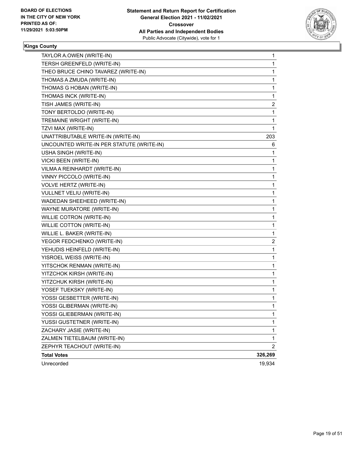

| TAYLOR A.OWEN (WRITE-IN)                  | 1              |
|-------------------------------------------|----------------|
| TERSH GREENFELD (WRITE-IN)                | 1              |
| THEO BRUCE CHINO TAVAREZ (WRITE-IN)       | 1              |
| THOMAS A ZMUDA (WRITE-IN)                 | 1              |
| THOMAS G HOBAN (WRITE-IN)                 | 1              |
| THOMAS INCK (WRITE-IN)                    | 1              |
| TISH JAMES (WRITE-IN)                     | 2              |
| TONY BERTOLDO (WRITE-IN)                  | 1              |
| TREMAINE WRIGHT (WRITE-IN)                | 1              |
| TZVI MAX (WRITE-IN)                       | 1              |
| UNATTRIBUTABLE WRITE-IN (WRITE-IN)        | 203            |
| UNCOUNTED WRITE-IN PER STATUTE (WRITE-IN) | 6              |
| USHA SINGH (WRITE-IN)                     | 1              |
| VICKI BEEN (WRITE-IN)                     | 1              |
| VILMA A REINHARDT (WRITE-IN)              | 1              |
| VINNY PICCOLO (WRITE-IN)                  | 1              |
| VOLVE HERTZ (WRITE-IN)                    | 1              |
| VULLNET VELIU (WRITE-IN)                  | 1              |
| WADEDAN SHEEHEED (WRITE-IN)               | 1              |
| WAYNE MURATORE (WRITE-IN)                 | 1              |
| WILLIE COTRON (WRITE-IN)                  | 1              |
| WILLIE COTTON (WRITE-IN)                  | 1              |
| WILLIE L. BAKER (WRITE-IN)                | 1              |
| YEGOR FEDCHENKO (WRITE-IN)                | 2              |
| YEHUDIS HEINFELD (WRITE-IN)               | 1              |
| YISROEL WEISS (WRITE-IN)                  | 1              |
| YITSCHOK RENMAN (WRITE-IN)                | 1              |
| YITZCHOK KIRSH (WRITE-IN)                 | 1              |
| YITZCHUK KIRSH (WRITE-IN)                 | 1              |
| YOSEF TUEKSKY (WRITE-IN)                  | 1              |
| YOSSI GESBETTER (WRITE-IN)                | 1              |
| YOSSI GLIBERMAN (WRITE-IN)                | 1              |
| YOSSI GLIEBERMAN (WRITE-IN)               | 1              |
| YUSSI GUSTETNER (WRITE-IN)                | 1              |
| ZACHARY JASIE (WRITE-IN)                  | 1              |
| ZALMEN TIETELBAUM (WRITE-IN)              | 1              |
| ZEPHYR TEACHOUT (WRITE-IN)                | $\overline{2}$ |
| <b>Total Votes</b>                        | 326,269        |
| Unrecorded                                | 19,934         |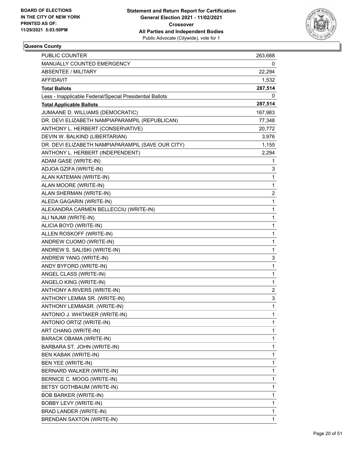

| <b>PUBLIC COUNTER</b>                                    | 263,688        |
|----------------------------------------------------------|----------------|
| MANUALLY COUNTED EMERGENCY                               | 0              |
| <b>ABSENTEE / MILITARY</b>                               | 22,294         |
| AFFIDAVIT                                                | 1,532          |
| <b>Total Ballots</b>                                     | 287,514        |
| Less - Inapplicable Federal/Special Presidential Ballots | 0              |
| <b>Total Applicable Ballots</b>                          | 287,514        |
| JUMAANE D. WILLIAMS (DEMOCRATIC)                         | 167,983        |
| DR. DEVI ELIZABETH NAMPIAPARAMPIL (REPUBLICAN)           | 77,348         |
| ANTHONY L. HERBERT (CONSERVATIVE)                        | 20,772         |
| DEVIN W. BALKIND (LIBERTARIAN)                           | 3,976          |
| DR. DEVI ELIZABETH NAMPIAPARAMPIL (SAVE OUR CITY)        | 1,155          |
| ANTHONY L. HERBERT (INDEPENDENT)                         | 2,294          |
| ADAM GASE (WRITE-IN)                                     | 1              |
| ADJOA GZIFA (WRITE-IN)                                   | 3              |
| ALAN KATEMAN (WRITE-IN)                                  | $\mathbf 1$    |
| ALAN MOORE (WRITE-IN)                                    | 1              |
| ALAN SHERMAN (WRITE-IN)                                  | $\overline{2}$ |
| ALEDA GAGARIN (WRITE-IN)                                 | $\mathbf{1}$   |
| ALEXANDRA CARMEN BELLECCIU (WRITE-IN)                    | 1              |
| ALI NAJMI (WRITE-IN)                                     | $\mathbf{1}$   |
| ALICIA BOYD (WRITE-IN)                                   | $\mathbf 1$    |
| ALLEN ROSKOFF (WRITE-IN)                                 | 1              |
| ANDREW CUOMO (WRITE-IN)                                  | 1              |
| ANDREW S. SALISKI (WRITE-IN)                             | $\mathbf{1}$   |
| ANDREW YANG (WRITE-IN)                                   | 3              |
| ANDY BYFORD (WRITE-IN)                                   | $\mathbf{1}$   |
| ANGEL CLASS (WRITE-IN)                                   | $\mathbf 1$    |
| ANGELO KING (WRITE-IN)                                   | 1              |
| ANTHONY A RIVERS (WRITE-IN)                              | $\overline{2}$ |
| ANTHONY LEMMA SR. (WRITE-IN)                             | 3              |
| ANTHONY LEMMASR. (WRITE-IN)                              | $\mathbf{1}$   |
| ANTONIO J. WHITAKER (WRITE-IN)                           | $\mathbf{1}$   |
| ANTONIO ORTIZ (WRITE-IN)                                 | 1              |
| ART CHANG (WRITE-IN)                                     | 1              |
| BARACK OBAMA (WRITE-IN)                                  | 1              |
| BARBARA ST. JOHN (WRITE-IN)                              | $\mathbf{1}$   |
| <b>BEN KABAK (WRITE-IN)</b>                              | 1              |
| BEN YEE (WRITE-IN)                                       | 1              |
| BERNARD WALKER (WRITE-IN)                                | 1              |
| BERNICE C. MOOG (WRITE-IN)                               | 1              |
| BETSY GOTHBAUM (WRITE-IN)                                | 1              |
| <b>BOB BARKER (WRITE-IN)</b>                             | $\mathbf{1}$   |
| BOBBY LEVY (WRITE-IN)                                    | 1              |
| BRAD LANDER (WRITE-IN)                                   | 1              |
| BRENDAN SAXTON (WRITE-IN)                                | 1              |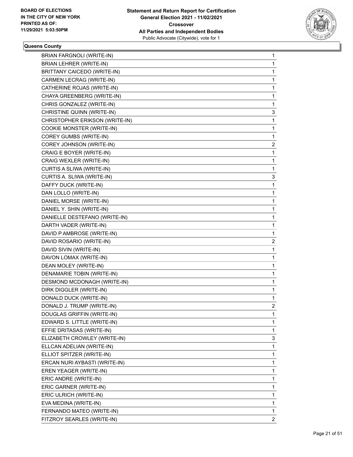

| BRIAN FARGNOLI (WRITE-IN)          | 1              |
|------------------------------------|----------------|
| <b>BRIAN LEHRER (WRITE-IN)</b>     | $\mathbf{1}$   |
| <b>BRITTANY CAICEDO (WRITE-IN)</b> | 1              |
| CARMEN LECRAG (WRITE-IN)           | 1              |
| CATHERINE ROJAS (WRITE-IN)         | 1              |
| CHAYA GREENBERG (WRITE-IN)         | 1              |
| CHRIS GONZALEZ (WRITE-IN)          | 1              |
| CHRISTINE QUINN (WRITE-IN)         | 3              |
| CHRISTOPHER ERIKSON (WRITE-IN)     | 1              |
| COOKIE MONSTER (WRITE-IN)          | 1              |
| COREY GUMBS (WRITE-IN)             | 1              |
| COREY JOHNSON (WRITE-IN)           | 2              |
| CRAIG E BOYER (WRITE-IN)           | 1              |
| CRAIG WEXLER (WRITE-IN)            | 1              |
| CURTIS A SLIWA (WRITE-IN)          | 1              |
| CURTIS A. SLIWA (WRITE-IN)         | 3              |
| DAFFY DUCK (WRITE-IN)              | 1              |
| DAN LOLLO (WRITE-IN)               | 1              |
| DANIEL MORSE (WRITE-IN)            | 1              |
| DANIEL Y. SHIN (WRITE-IN)          | $\mathbf{1}$   |
| DANIELLE DESTEFANO (WRITE-IN)      | 1              |
| DARTH VADER (WRITE-IN)             | 1              |
| DAVID P AMBROSE (WRITE-IN)         | 1              |
| DAVID ROSARIO (WRITE-IN)           | 2              |
| DAVID SIVIN (WRITE-IN)             | 1              |
| DAVON LOMAX (WRITE-IN)             | $\mathbf{1}$   |
| DEAN MOLEY (WRITE-IN)              | 1              |
| DENAMARIE TOBIN (WRITE-IN)         | 1              |
| DESMOND MCDONAGH (WRITE-IN)        | 1              |
| DIRK DIGGLER (WRITE-IN)            | 1              |
| DONALD DUCK (WRITE-IN)             | 1              |
| DONALD J. TRUMP (WRITE-IN)         | 2              |
| DOUGLAS GRIFFIN (WRITE-IN)         | 1              |
| EDWARD S. LITTLE (WRITE-IN)        | 1              |
| EFFIE DRITASAS (WRITE-IN)          | 1              |
| ELIZABETH CROWLEY (WRITE-IN)       | 3              |
| ELLCAN ADELIAN (WRITE-IN)          | 1              |
| ELLIOT SPITZER (WRITE-IN)          | 1              |
| ERCAN NURI AYBASTI (WRITE-IN)      | 1              |
| EREN YEAGER (WRITE-IN)             | 1              |
| ERIC ANDRE (WRITE-IN)              | 1              |
| ERIC GARNER (WRITE-IN)             | 1              |
| ERIC ULRICH (WRITE-IN)             | 1              |
| EVA MEDINA (WRITE-IN)              | 1              |
| FERNANDO MATEO (WRITE-IN)          | 1              |
| FITZROY SEARLES (WRITE-IN)         | $\overline{2}$ |
|                                    |                |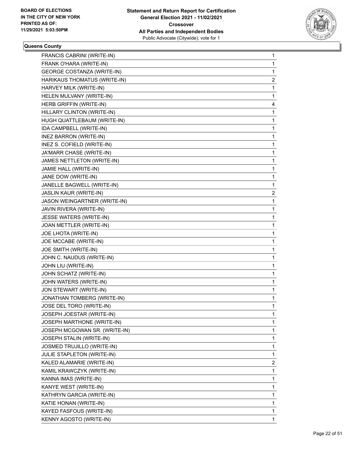

| FRANCIS CABRINI (WRITE-IN)        | 1 |
|-----------------------------------|---|
| FRANK O'HARA (WRITE-IN)           | 1 |
| <b>GEORGE COSTANZA (WRITE-IN)</b> | 1 |
| HARIKAUS THOMATUS (WRITE-IN)      | 2 |
| HARVEY MILK (WRITE-IN)            | 1 |
| HELEN MULVANY (WRITE-IN)          | 1 |
| HERB GRIFFIN (WRITE-IN)           | 4 |
| HILLARY CLINTON (WRITE-IN)        | 1 |
| HUGH QUATTLEBAUM (WRITE-IN)       | 1 |
| IDA CAMPBELL (WRITE-IN)           | 1 |
| INEZ BARRON (WRITE-IN)            | 1 |
| INEZ S. COFIELD (WRITE-IN)        | 1 |
| JA'MARR CHASE (WRITE-IN)          | 1 |
| JAMES NETTLETON (WRITE-IN)        | 1 |
| JAMIE HALL (WRITE-IN)             | 1 |
| JANE DOW (WRITE-IN)               | 1 |
| JANELLE BAGWELL (WRITE-IN)        | 1 |
| JASLIN KAUR (WRITE-IN)            | 2 |
| JASON WEINGARTNER (WRITE-IN)      | 1 |
| JAVIN RIVERA (WRITE-IN)           | 1 |
| JESSE WATERS (WRITE-IN)           | 1 |
| JOAN METTLER (WRITE-IN)           | 1 |
| JOE LHOTA (WRITE-IN)              | 1 |
| JOE MCCABE (WRITE-IN)             | 1 |
| JOE SMITH (WRITE-IN)              | 1 |
| JOHN C. NAUDUS (WRITE-IN)         | 1 |
| JOHN LIU (WRITE-IN)               | 1 |
| JOHN SCHATZ (WRITE-IN)            | 1 |
| JOHN WATERS (WRITE-IN)            | 1 |
| JON STEWART (WRITE-IN)            | 1 |
| JONATHAN TOMBERG (WRITE-IN)       | 1 |
| JOSE DEL TORO (WRITE-IN)          | 1 |
| JOSEPH JOESTAR (WRITE-IN)         | 1 |
| JOSEPH MARTHONE (WRITE-IN)        | 1 |
| JOSEPH MCGOWAN SR. (WRITE-IN)     | 1 |
| JOSEPH STALIN (WRITE-IN)          | 1 |
| JOSMED TRUJILLO (WRITE-IN)        | 1 |
| <b>JULIE STAPLETON (WRITE-IN)</b> | 1 |
| KALED ALAMARIE (WRITE-IN)         | 2 |
| KAMIL KRAWCZYK (WRITE-IN)         | 1 |
| KANNA IMAS (WRITE-IN)             | 1 |
| KANYE WEST (WRITE-IN)             | 1 |
| KATHRYN GARCIA (WRITE-IN)         | 1 |
| KATIE HONAN (WRITE-IN)            | 1 |
| KAYED FASFOUS (WRITE-IN)          | 1 |
| KENNY AGOSTO (WRITE-IN)           | 1 |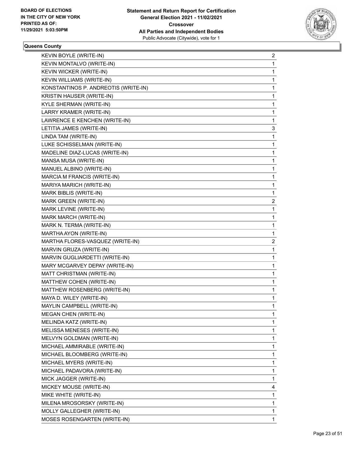

| KEVIN BOYLE (WRITE-IN) | 2                                                                                                                                                                                                                                                                                                                                                                                                                                                                                                                                                                                                                                                                                                                                                                                                                                                                                                                                                                                                                                                                                                                                                                                                                                                                                                                                                                |
|------------------------|------------------------------------------------------------------------------------------------------------------------------------------------------------------------------------------------------------------------------------------------------------------------------------------------------------------------------------------------------------------------------------------------------------------------------------------------------------------------------------------------------------------------------------------------------------------------------------------------------------------------------------------------------------------------------------------------------------------------------------------------------------------------------------------------------------------------------------------------------------------------------------------------------------------------------------------------------------------------------------------------------------------------------------------------------------------------------------------------------------------------------------------------------------------------------------------------------------------------------------------------------------------------------------------------------------------------------------------------------------------|
|                        | 1                                                                                                                                                                                                                                                                                                                                                                                                                                                                                                                                                                                                                                                                                                                                                                                                                                                                                                                                                                                                                                                                                                                                                                                                                                                                                                                                                                |
|                        | 1                                                                                                                                                                                                                                                                                                                                                                                                                                                                                                                                                                                                                                                                                                                                                                                                                                                                                                                                                                                                                                                                                                                                                                                                                                                                                                                                                                |
|                        | 1                                                                                                                                                                                                                                                                                                                                                                                                                                                                                                                                                                                                                                                                                                                                                                                                                                                                                                                                                                                                                                                                                                                                                                                                                                                                                                                                                                |
|                        | 1                                                                                                                                                                                                                                                                                                                                                                                                                                                                                                                                                                                                                                                                                                                                                                                                                                                                                                                                                                                                                                                                                                                                                                                                                                                                                                                                                                |
|                        | 1                                                                                                                                                                                                                                                                                                                                                                                                                                                                                                                                                                                                                                                                                                                                                                                                                                                                                                                                                                                                                                                                                                                                                                                                                                                                                                                                                                |
|                        | 1                                                                                                                                                                                                                                                                                                                                                                                                                                                                                                                                                                                                                                                                                                                                                                                                                                                                                                                                                                                                                                                                                                                                                                                                                                                                                                                                                                |
|                        | 1                                                                                                                                                                                                                                                                                                                                                                                                                                                                                                                                                                                                                                                                                                                                                                                                                                                                                                                                                                                                                                                                                                                                                                                                                                                                                                                                                                |
|                        | 1                                                                                                                                                                                                                                                                                                                                                                                                                                                                                                                                                                                                                                                                                                                                                                                                                                                                                                                                                                                                                                                                                                                                                                                                                                                                                                                                                                |
|                        | 3                                                                                                                                                                                                                                                                                                                                                                                                                                                                                                                                                                                                                                                                                                                                                                                                                                                                                                                                                                                                                                                                                                                                                                                                                                                                                                                                                                |
|                        | 1                                                                                                                                                                                                                                                                                                                                                                                                                                                                                                                                                                                                                                                                                                                                                                                                                                                                                                                                                                                                                                                                                                                                                                                                                                                                                                                                                                |
|                        | 1                                                                                                                                                                                                                                                                                                                                                                                                                                                                                                                                                                                                                                                                                                                                                                                                                                                                                                                                                                                                                                                                                                                                                                                                                                                                                                                                                                |
|                        | 1                                                                                                                                                                                                                                                                                                                                                                                                                                                                                                                                                                                                                                                                                                                                                                                                                                                                                                                                                                                                                                                                                                                                                                                                                                                                                                                                                                |
|                        | 1                                                                                                                                                                                                                                                                                                                                                                                                                                                                                                                                                                                                                                                                                                                                                                                                                                                                                                                                                                                                                                                                                                                                                                                                                                                                                                                                                                |
|                        | 1                                                                                                                                                                                                                                                                                                                                                                                                                                                                                                                                                                                                                                                                                                                                                                                                                                                                                                                                                                                                                                                                                                                                                                                                                                                                                                                                                                |
|                        | 1                                                                                                                                                                                                                                                                                                                                                                                                                                                                                                                                                                                                                                                                                                                                                                                                                                                                                                                                                                                                                                                                                                                                                                                                                                                                                                                                                                |
|                        | 1                                                                                                                                                                                                                                                                                                                                                                                                                                                                                                                                                                                                                                                                                                                                                                                                                                                                                                                                                                                                                                                                                                                                                                                                                                                                                                                                                                |
|                        | 1                                                                                                                                                                                                                                                                                                                                                                                                                                                                                                                                                                                                                                                                                                                                                                                                                                                                                                                                                                                                                                                                                                                                                                                                                                                                                                                                                                |
|                        | 2                                                                                                                                                                                                                                                                                                                                                                                                                                                                                                                                                                                                                                                                                                                                                                                                                                                                                                                                                                                                                                                                                                                                                                                                                                                                                                                                                                |
|                        | 1                                                                                                                                                                                                                                                                                                                                                                                                                                                                                                                                                                                                                                                                                                                                                                                                                                                                                                                                                                                                                                                                                                                                                                                                                                                                                                                                                                |
|                        | 1                                                                                                                                                                                                                                                                                                                                                                                                                                                                                                                                                                                                                                                                                                                                                                                                                                                                                                                                                                                                                                                                                                                                                                                                                                                                                                                                                                |
|                        | 1                                                                                                                                                                                                                                                                                                                                                                                                                                                                                                                                                                                                                                                                                                                                                                                                                                                                                                                                                                                                                                                                                                                                                                                                                                                                                                                                                                |
|                        | 1                                                                                                                                                                                                                                                                                                                                                                                                                                                                                                                                                                                                                                                                                                                                                                                                                                                                                                                                                                                                                                                                                                                                                                                                                                                                                                                                                                |
|                        | 2                                                                                                                                                                                                                                                                                                                                                                                                                                                                                                                                                                                                                                                                                                                                                                                                                                                                                                                                                                                                                                                                                                                                                                                                                                                                                                                                                                |
|                        | 1                                                                                                                                                                                                                                                                                                                                                                                                                                                                                                                                                                                                                                                                                                                                                                                                                                                                                                                                                                                                                                                                                                                                                                                                                                                                                                                                                                |
|                        | 1                                                                                                                                                                                                                                                                                                                                                                                                                                                                                                                                                                                                                                                                                                                                                                                                                                                                                                                                                                                                                                                                                                                                                                                                                                                                                                                                                                |
|                        | 1                                                                                                                                                                                                                                                                                                                                                                                                                                                                                                                                                                                                                                                                                                                                                                                                                                                                                                                                                                                                                                                                                                                                                                                                                                                                                                                                                                |
|                        | 1                                                                                                                                                                                                                                                                                                                                                                                                                                                                                                                                                                                                                                                                                                                                                                                                                                                                                                                                                                                                                                                                                                                                                                                                                                                                                                                                                                |
|                        | 1                                                                                                                                                                                                                                                                                                                                                                                                                                                                                                                                                                                                                                                                                                                                                                                                                                                                                                                                                                                                                                                                                                                                                                                                                                                                                                                                                                |
|                        | 1                                                                                                                                                                                                                                                                                                                                                                                                                                                                                                                                                                                                                                                                                                                                                                                                                                                                                                                                                                                                                                                                                                                                                                                                                                                                                                                                                                |
|                        | 1                                                                                                                                                                                                                                                                                                                                                                                                                                                                                                                                                                                                                                                                                                                                                                                                                                                                                                                                                                                                                                                                                                                                                                                                                                                                                                                                                                |
|                        | 1                                                                                                                                                                                                                                                                                                                                                                                                                                                                                                                                                                                                                                                                                                                                                                                                                                                                                                                                                                                                                                                                                                                                                                                                                                                                                                                                                                |
|                        | 1                                                                                                                                                                                                                                                                                                                                                                                                                                                                                                                                                                                                                                                                                                                                                                                                                                                                                                                                                                                                                                                                                                                                                                                                                                                                                                                                                                |
|                        | 1                                                                                                                                                                                                                                                                                                                                                                                                                                                                                                                                                                                                                                                                                                                                                                                                                                                                                                                                                                                                                                                                                                                                                                                                                                                                                                                                                                |
|                        | 1                                                                                                                                                                                                                                                                                                                                                                                                                                                                                                                                                                                                                                                                                                                                                                                                                                                                                                                                                                                                                                                                                                                                                                                                                                                                                                                                                                |
|                        | 1                                                                                                                                                                                                                                                                                                                                                                                                                                                                                                                                                                                                                                                                                                                                                                                                                                                                                                                                                                                                                                                                                                                                                                                                                                                                                                                                                                |
|                        | 1                                                                                                                                                                                                                                                                                                                                                                                                                                                                                                                                                                                                                                                                                                                                                                                                                                                                                                                                                                                                                                                                                                                                                                                                                                                                                                                                                                |
|                        | 1                                                                                                                                                                                                                                                                                                                                                                                                                                                                                                                                                                                                                                                                                                                                                                                                                                                                                                                                                                                                                                                                                                                                                                                                                                                                                                                                                                |
|                        | 1                                                                                                                                                                                                                                                                                                                                                                                                                                                                                                                                                                                                                                                                                                                                                                                                                                                                                                                                                                                                                                                                                                                                                                                                                                                                                                                                                                |
|                        | 1                                                                                                                                                                                                                                                                                                                                                                                                                                                                                                                                                                                                                                                                                                                                                                                                                                                                                                                                                                                                                                                                                                                                                                                                                                                                                                                                                                |
|                        | 1                                                                                                                                                                                                                                                                                                                                                                                                                                                                                                                                                                                                                                                                                                                                                                                                                                                                                                                                                                                                                                                                                                                                                                                                                                                                                                                                                                |
|                        | 4                                                                                                                                                                                                                                                                                                                                                                                                                                                                                                                                                                                                                                                                                                                                                                                                                                                                                                                                                                                                                                                                                                                                                                                                                                                                                                                                                                |
|                        | 1                                                                                                                                                                                                                                                                                                                                                                                                                                                                                                                                                                                                                                                                                                                                                                                                                                                                                                                                                                                                                                                                                                                                                                                                                                                                                                                                                                |
|                        | 1                                                                                                                                                                                                                                                                                                                                                                                                                                                                                                                                                                                                                                                                                                                                                                                                                                                                                                                                                                                                                                                                                                                                                                                                                                                                                                                                                                |
|                        | 1                                                                                                                                                                                                                                                                                                                                                                                                                                                                                                                                                                                                                                                                                                                                                                                                                                                                                                                                                                                                                                                                                                                                                                                                                                                                                                                                                                |
|                        | 1                                                                                                                                                                                                                                                                                                                                                                                                                                                                                                                                                                                                                                                                                                                                                                                                                                                                                                                                                                                                                                                                                                                                                                                                                                                                                                                                                                |
|                        | KEVIN MONTALVO (WRITE-IN)<br>KEVIN WICKER (WRITE-IN)<br>KEVIN WILLIAMS (WRITE-IN)<br>KONSTANTINOS P. ANDREOTIS (WRITE-IN)<br>KRISTIN HAUSER (WRITE-IN)<br>KYLE SHERMAN (WRITE-IN)<br>LARRY KRAMER (WRITE-IN)<br>LAWRENCE E KENCHEN (WRITE-IN)<br>LETITIA JAMES (WRITE-IN)<br>LINDA TAM (WRITE-IN)<br>LUKE SCHISSELMAN (WRITE-IN)<br>MADELINE DIAZ-LUCAS (WRITE-IN)<br>MANSA MUSA (WRITE-IN)<br>MANUEL ALBINO (WRITE-IN)<br>MARCIA M FRANCIS (WRITE-IN)<br>MARIYA MARICH (WRITE-IN)<br>MARK BIBLIS (WRITE-IN)<br>MARK GREEN (WRITE-IN)<br>MARK LEVINE (WRITE-IN)<br>MARK MARCH (WRITE-IN)<br>MARK N. TERMA (WRITE-IN)<br>MARTHA AYON (WRITE-IN)<br>MARTHA FLORES-VASQUEZ (WRITE-IN)<br>MARVIN GRUZA (WRITE-IN)<br>MARVIN GUGLIARDETTI (WRITE-IN)<br>MARY MCGARVEY DEPAY (WRITE-IN)<br>MATT CHRISTMAN (WRITE-IN)<br>MATTHEW COHEN (WRITE-IN)<br>MATTHEW ROSENBERG (WRITE-IN)<br>MAYA D. WILEY (WRITE-IN)<br>MAYLIN CAMPBELL (WRITE-IN)<br><b>MEGAN CHEN (WRITE-IN)</b><br>MELINDA KATZ (WRITE-IN)<br>MELISSA MENESES (WRITE-IN)<br>MELVYN GOLDMAN (WRITE-IN)<br>MICHAEL AMMIRABLE (WRITE-IN)<br>MICHAEL BLOOMBERG (WRITE-IN)<br>MICHAEL MYERS (WRITE-IN)<br>MICHAEL PADAVORA (WRITE-IN)<br>MICK JAGGER (WRITE-IN)<br>MICKEY MOUSE (WRITE-IN)<br>MIKE WHITE (WRITE-IN)<br>MILENA MROSORSKY (WRITE-IN)<br>MOLLY GALLEGHER (WRITE-IN)<br>MOSES ROSENGARTEN (WRITE-IN) |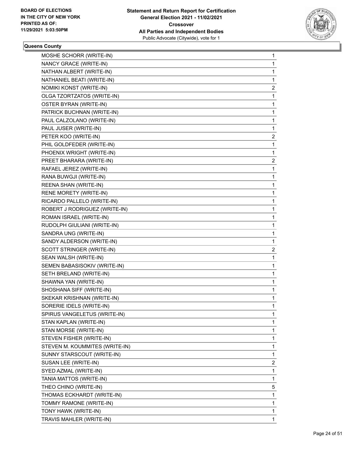

| MOSHE SCHORR (WRITE-IN)        | $\mathbf 1$  |
|--------------------------------|--------------|
| NANCY GRACE (WRITE-IN)         | 1            |
| NATHAN ALBERT (WRITE-IN)       | 1            |
| NATHANIEL BEATI (WRITE-IN)     | 1            |
| NOMIKI KONST (WRITE-IN)        | 2            |
| OLGA TZORTZATOS (WRITE-IN)     | 1            |
| OSTER BYRAN (WRITE-IN)         | 1            |
| PATRICK BUCHNAN (WRITE-IN)     | 1            |
| PAUL CALZOLANO (WRITE-IN)      | 1            |
| PAUL JUSER (WRITE-IN)          | 1            |
| PETER KOO (WRITE-IN)           | 2            |
| PHIL GOLDFEDER (WRITE-IN)      | 1            |
| PHOENIX WRIGHT (WRITE-IN)      | 1            |
| PREET BHARARA (WRITE-IN)       | 2            |
| RAFAEL JEREZ (WRITE-IN)        | $\mathbf{1}$ |
| RANA BUWGJI (WRITE-IN)         | 1            |
| REENA SHAN (WRITE-IN)          | $\mathbf{1}$ |
| RENE MORETY (WRITE-IN)         | 1            |
| RICARDO PALLELO (WRITE-IN)     | 1            |
| ROBERT J RODRIGUEZ (WRITE-IN)  | 1            |
| ROMAN ISRAEL (WRITE-IN)        | 1            |
| RUDOLPH GIULIANI (WRITE-IN)    | 1            |
| SANDRA UNG (WRITE-IN)          | $\mathbf{1}$ |
| SANDY ALDERSON (WRITE-IN)      | 1            |
| SCOTT STRINGER (WRITE-IN)      | 2            |
| SEAN WALSH (WRITE-IN)          | 1            |
| SEMEN BABASISOKIV (WRITE-IN)   | 1            |
| SETH BRELAND (WRITE-IN)        | 1            |
| SHAWNA YAN (WRITE-IN)          | $\mathbf{1}$ |
| SHOSHANA SIFF (WRITE-IN)       | 1            |
| SKEKAR KRISHNAN (WRITE-IN)     | 1            |
| SORERIE IDELS (WRITE-IN)       | $\mathbf{1}$ |
| SPIRUS VANGELETUS (WRITE-IN)   | 1            |
| STAN KAPLAN (WRITE-IN)         | 1            |
| STAN MORSE (WRITE-IN)          | 1            |
| STEVEN FISHER (WRITE-IN)       | 1            |
| STEVEN M. KOUMMITES (WRITE-IN) | 1            |
| SUNNY STARSCOUT (WRITE-IN)     | $\mathbf 1$  |
| SUSAN LEE (WRITE-IN)           | 2            |
| SYED AZMAL (WRITE-IN)          | 1            |
| TANIA MATTOS (WRITE-IN)        | 1            |
| THEO CHINO (WRITE-IN)          | 5            |
| THOMAS ECKHARDT (WRITE-IN)     | 1            |
| TOMMY RAMONE (WRITE-IN)        | $\mathbf{1}$ |
| TONY HAWK (WRITE-IN)           | 1            |
| TRAVIS MAHLER (WRITE-IN)       | 1            |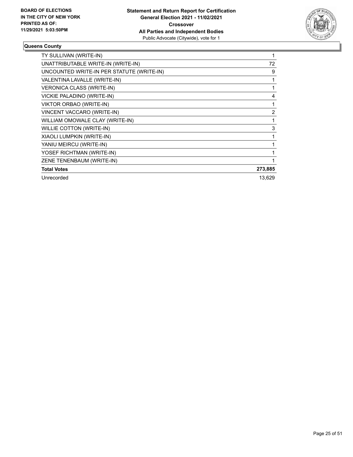

| TY SULLIVAN (WRITE-IN)                    |         |
|-------------------------------------------|---------|
| UNATTRIBUTABLE WRITE-IN (WRITE-IN)        | 72      |
| UNCOUNTED WRITE-IN PER STATUTE (WRITE-IN) | 9       |
| VALENTINA LAVALLE (WRITE-IN)              |         |
| <b>VERONICA CLASS (WRITE-IN)</b>          |         |
| VICKIE PALADINO (WRITE-IN)                | 4       |
| VIKTOR ORBAO (WRITE-IN)                   |         |
| VINCENT VACCARO (WRITE-IN)                | 2       |
| WILLIAM OMOWALE CLAY (WRITE-IN)           |         |
| <b>WILLIE COTTON (WRITE-IN)</b>           | 3       |
| XIAOLI LUMPKIN (WRITE-IN)                 |         |
| YANIU MEIRCU (WRITE-IN)                   |         |
| YOSEF RICHTMAN (WRITE-IN)                 |         |
| ZENE TENENBAUM (WRITE-IN)                 |         |
| <b>Total Votes</b>                        | 273,885 |
| Unrecorded                                | 13,629  |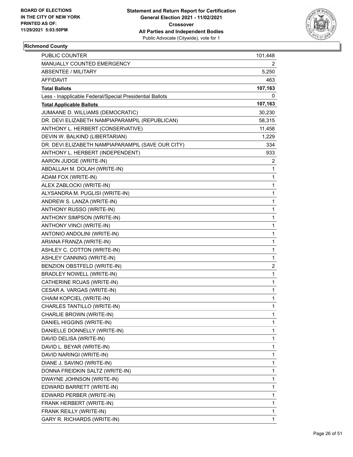

# **Richmond County**

| <b>PUBLIC COUNTER</b>                                    | 101,448        |
|----------------------------------------------------------|----------------|
| MANUALLY COUNTED EMERGENCY                               | 2              |
| <b>ABSENTEE / MILITARY</b>                               | 5,250          |
| AFFIDAVIT                                                | 463            |
| <b>Total Ballots</b>                                     | 107,163        |
| Less - Inapplicable Federal/Special Presidential Ballots | 0              |
| <b>Total Applicable Ballots</b>                          | 107,163        |
| JUMAANE D. WILLIAMS (DEMOCRATIC)                         | 30,230         |
| DR. DEVI ELIZABETH NAMPIAPARAMPIL (REPUBLICAN)           | 58,315         |
| ANTHONY L. HERBERT (CONSERVATIVE)                        | 11,458         |
| DEVIN W. BALKIND (LIBERTARIAN)                           | 1,229          |
| DR. DEVI ELIZABETH NAMPIAPARAMPIL (SAVE OUR CITY)        | 334            |
| ANTHONY L. HERBERT (INDEPENDENT)                         | 933            |
| AARON JUDGE (WRITE-IN)                                   | 2              |
| ABDALLAH M. DOLAH (WRITE-IN)                             | 1              |
| ADAM FOX (WRITE-IN)                                      | 1              |
| ALEX ZABLOCKI (WRITE-IN)                                 | 1              |
| ALYSANDRA M. PUGLISI (WRITE-IN)                          | 1              |
| ANDREW S. LANZA (WRITE-IN)                               | 1              |
| ANTHONY RUSSO (WRITE-IN)                                 | 1              |
| ANTHONY SIMPSON (WRITE-IN)                               | 1              |
| ANTHONY VINCI (WRITE-IN)                                 | 1              |
| ANTONIO ANDOLINI (WRITE-IN)                              | 1              |
| ARIANA FRANZA (WRITE-IN)                                 | 1              |
| ASHLEY C. COTTON (WRITE-IN)                              | 1              |
| ASHLEY CANNING (WRITE-IN)                                | 1              |
| BENZION OBSTFELD (WRITE-IN)                              | $\overline{2}$ |
| BRADLEY NOWELL (WRITE-IN)                                | 1              |
| CATHERINE ROJAS (WRITE-IN)                               | 1              |
| CESAR A. VARGAS (WRITE-IN)                               | 1              |
| CHAIM KOPCIEL (WRITE-IN)                                 | 1              |
| CHARLES TANTILLO (WRITE-IN)                              | 1              |
| CHARLIE BROWN (WRITE-IN)                                 | 1              |
| DANIEL HIGGINS (WRITE-IN)                                | 1              |
| DANIELLE DONNELLY (WRITE-IN)                             | 1              |
| DAVID DELISA (WRITE-IN)                                  | 1              |
| DAVID L. BEYAR (WRITE-IN)                                | 1              |
| DAVID NARINGI (WRITE-IN)                                 | 1              |
| DIANE J. SAVINO (WRITE-IN)                               | 1              |
| DONNA FREIDKIN SALTZ (WRITE-IN)                          | 1              |
| DWAYNE JOHNSON (WRITE-IN)                                | 1              |
| EDWARD BARRETT (WRITE-IN)                                | 1              |
| EDWARD PERBER (WRITE-IN)                                 | 1              |
| FRANK HERBERT (WRITE-IN)                                 | 1              |
| FRANK REILLY (WRITE-IN)                                  | 1              |
| GARY R. RICHARDS (WRITE-IN)                              | 1              |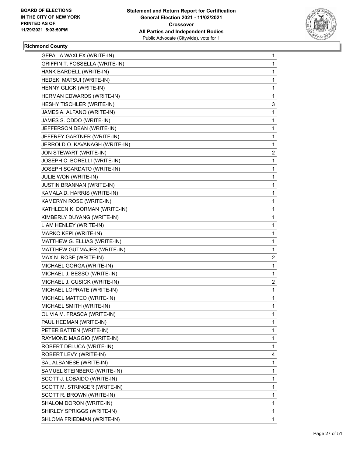

# **Richmond County**

| GEPALIA WAXLEX (WRITE-IN)        | 1              |
|----------------------------------|----------------|
| GRIFFIN T. FOSSELLA (WRITE-IN)   | 1              |
| HANK BARDELL (WRITE-IN)          | 1              |
| HEDEKI MATSUI (WRITE-IN)         | 1              |
| HENNY GLICK (WRITE-IN)           | 1              |
| HERMAN EDWARDS (WRITE-IN)        | 1              |
| HESHY TISCHLER (WRITE-IN)        | 3              |
| JAMES A. ALFANO (WRITE-IN)       | 1              |
| JAMES S. ODDO (WRITE-IN)         | 1              |
| JEFFERSON DEAN (WRITE-IN)        | 1              |
| JEFFREY GARTNER (WRITE-IN)       | 1              |
| JERROLD O. KAVANAGH (WRITE-IN)   | 1              |
| JON STEWART (WRITE-IN)           | 2              |
| JOSEPH C. BORELLI (WRITE-IN)     | 1              |
| JOSEPH SCARDATO (WRITE-IN)       | 1              |
| JULIE WON (WRITE-IN)             | 1              |
| <b>JUSTIN BRANNAN (WRITE-IN)</b> | 1              |
| KAMALA D. HARRIS (WRITE-IN)      | 1              |
| KAMERYN ROSE (WRITE-IN)          | 1              |
| KATHLEEN K. DORMAN (WRITE-IN)    | 1              |
| KIMBERLY DUYANG (WRITE-IN)       | 1              |
| LIAM HENLEY (WRITE-IN)           | 1              |
| MARKO KEPI (WRITE-IN)            | 1              |
| MATTHEW G. ELLIAS (WRITE-IN)     | 1              |
| MATTHEW GUTMAJER (WRITE-IN)      | 1              |
| MAX N. ROSE (WRITE-IN)           | $\overline{c}$ |
| MICHAEL GORGA (WRITE-IN)         | 1              |
| MICHAEL J. BESSO (WRITE-IN)      | 1              |
| MICHAEL J. CUSICK (WRITE-IN)     | 2              |
| MICHAEL LOPRATE (WRITE-IN)       | 1              |
| MICHAEL MATTEO (WRITE-IN)        | 1              |
| MICHAEL SMITH (WRITE-IN)         | 1              |
| OLIVIA M. FRASCA (WRITE-IN)      | 1              |
| PAUL HEDMAN (WRITE-IN)           | 1              |
| PETER BATTEN (WRITE-IN)          | 1              |
| RAYMOND MAGGIO (WRITE-IN)        | 1              |
| ROBERT DELUCA (WRITE-IN)         | 1              |
| ROBERT LEVY (WRITE-IN)           | 4              |
| SAL ALBANESE (WRITE-IN)          | 1              |
| SAMUEL STEINBERG (WRITE-IN)      | 1              |
| SCOTT J. LOBAIDO (WRITE-IN)      | 1              |
| SCOTT M. STRINGER (WRITE-IN)     | 1              |
| SCOTT R. BROWN (WRITE-IN)        | 1              |
| SHALOM DORON (WRITE-IN)          | 1              |
| SHIRLEY SPRIGGS (WRITE-IN)       | 1              |
| SHLOMA FRIEDMAN (WRITE-IN)       | $\mathbf{1}$   |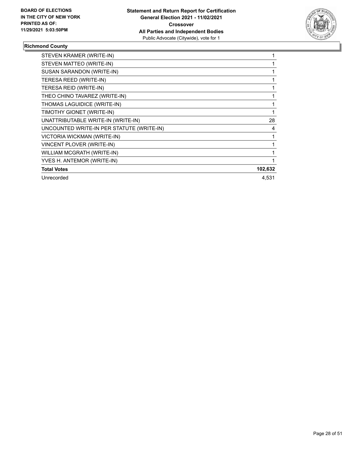

# **Richmond County**

| STEVEN KRAMER (WRITE-IN)                  |         |
|-------------------------------------------|---------|
| STEVEN MATTEO (WRITE-IN)                  |         |
| SUSAN SARANDON (WRITE-IN)                 |         |
| TERESA REED (WRITE-IN)                    |         |
| TERESA REID (WRITE-IN)                    |         |
| THEO CHINO TAVAREZ (WRITE-IN)             |         |
| THOMAS LAGUIDICE (WRITE-IN)               |         |
| TIMOTHY GIONET (WRITE-IN)                 |         |
| UNATTRIBUTABLE WRITE-IN (WRITE-IN)        | 28      |
| UNCOUNTED WRITE-IN PER STATUTE (WRITE-IN) | 4       |
| VICTORIA WICKMAN (WRITE-IN)               |         |
| VINCENT PLOVER (WRITE-IN)                 |         |
| WILLIAM MCGRATH (WRITE-IN)                |         |
| YVES H. ANTEMOR (WRITE-IN)                |         |
| <b>Total Votes</b>                        | 102,632 |
| Unrecorded                                | 4,531   |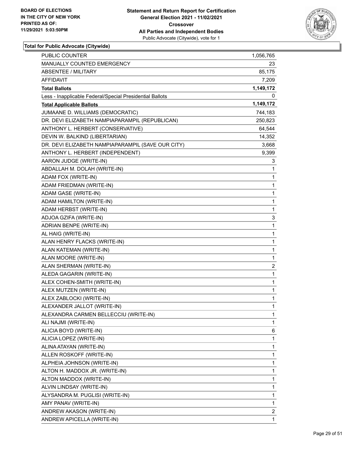

| PUBLIC COUNTER                                           | 1,056,765    |
|----------------------------------------------------------|--------------|
| MANUALLY COUNTED EMERGENCY                               | 23           |
| ABSENTEE / MILITARY                                      | 85,175       |
| AFFIDAVIT                                                | 7,209        |
| <b>Total Ballots</b>                                     | 1,149,172    |
| Less - Inapplicable Federal/Special Presidential Ballots | 0            |
| <b>Total Applicable Ballots</b>                          | 1,149,172    |
| JUMAANE D. WILLIAMS (DEMOCRATIC)                         | 744,183      |
| DR. DEVI ELIZABETH NAMPIAPARAMPIL (REPUBLICAN)           | 250,823      |
| ANTHONY L. HERBERT (CONSERVATIVE)                        | 64,544       |
| DEVIN W. BALKIND (LIBERTARIAN)                           | 14,352       |
| DR. DEVI ELIZABETH NAMPIAPARAMPIL (SAVE OUR CITY)        | 3,668        |
| ANTHONY L. HERBERT (INDEPENDENT)                         | 9,399        |
| AARON JUDGE (WRITE-IN)                                   | 3            |
| ABDALLAH M. DOLAH (WRITE-IN)                             | 1            |
| ADAM FOX (WRITE-IN)                                      | 1            |
| ADAM FRIEDMAN (WRITE-IN)                                 | 1            |
| ADAM GASE (WRITE-IN)                                     | 1            |
| ADAM HAMILTON (WRITE-IN)                                 | 1            |
| ADAM HERBST (WRITE-IN)                                   | 1            |
| ADJOA GZIFA (WRITE-IN)                                   | 3            |
| ADRIAN BENPE (WRITE-IN)                                  | 1            |
| AL HAIG (WRITE-IN)                                       | 1            |
| ALAN HENRY FLACKS (WRITE-IN)                             | $\mathbf{1}$ |
| ALAN KATEMAN (WRITE-IN)                                  | 1            |
| ALAN MOORE (WRITE-IN)                                    | 1            |
| ALAN SHERMAN (WRITE-IN)                                  | 2            |
| ALEDA GAGARIN (WRITE-IN)                                 | 1            |
| ALEX COHEN-SMITH (WRITE-IN)                              | 1            |
| ALEX MUTZEN (WRITE-IN)                                   | $\mathbf{1}$ |
| ALEX ZABLOCKI (WRITE-IN)                                 | 1            |
| ALEXANDER JALLOT (WRITE-IN)                              | 1            |
| ALEXANDRA CARMEN BELLECCIU (WRITE-IN)                    | 1            |
| ALI NAJMI (WRITE-IN)                                     | 1            |
| ALICIA BOYD (WRITE-IN)                                   | 6            |
| ALICIA LOPEZ (WRITE-IN)                                  | $\mathbf{1}$ |
| ALINA ATAYAN (WRITE-IN)                                  | 1            |
| ALLEN ROSKOFF (WRITE-IN)                                 | 1            |
| ALPHEIA JOHNSON (WRITE-IN)                               | 1            |
| ALTON H. MADDOX JR. (WRITE-IN)                           | 1            |
| ALTON MADDOX (WRITE-IN)                                  | 1            |
| ALVIN LINDSAY (WRITE-IN)                                 | 1            |
| ALYSANDRA M. PUGLISI (WRITE-IN)                          | 1            |
| AMY PANAV (WRITE-IN)                                     | 1            |
| ANDREW AKASON (WRITE-IN)                                 | 2            |
| ANDREW APICELLA (WRITE-IN)                               | 1            |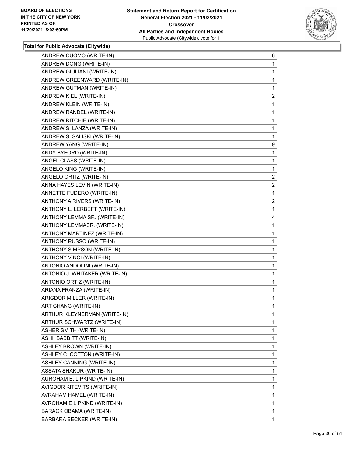

| ANDREW CUOMO (WRITE-IN)        | 6              |
|--------------------------------|----------------|
| ANDREW DONG (WRITE-IN)         | 1              |
| ANDREW GIULIANI (WRITE-IN)     | 1              |
| ANDREW GREENWARD (WRITE-IN)    | 1              |
| ANDREW GUTMAN (WRITE-IN)       | 1              |
| ANDREW KIEL (WRITE-IN)         | $\overline{2}$ |
| ANDREW KLEIN (WRITE-IN)        | 1              |
| ANDREW RANDEL (WRITE-IN)       | 1              |
| ANDREW RITCHIE (WRITE-IN)      | 1              |
| ANDREW S. LANZA (WRITE-IN)     | 1              |
| ANDREW S. SALISKI (WRITE-IN)   | 1              |
| ANDREW YANG (WRITE-IN)         | 9              |
| ANDY BYFORD (WRITE-IN)         | 1              |
| ANGEL CLASS (WRITE-IN)         | 1              |
| ANGELO KING (WRITE-IN)         | 1              |
| ANGELO ORTIZ (WRITE-IN)        | $\overline{a}$ |
| ANNA HAYES LEVIN (WRITE-IN)    | $\overline{2}$ |
| ANNETTE FUDERO (WRITE-IN)      | 1              |
| ANTHONY A RIVERS (WRITE-IN)    | $\overline{a}$ |
| ANTHONY L. LERBEFT (WRITE-IN)  | 1              |
| ANTHONY LEMMA SR. (WRITE-IN)   | 4              |
| ANTHONY LEMMASR. (WRITE-IN)    | 1              |
| ANTHONY MARTINEZ (WRITE-IN)    | 1              |
| ANTHONY RUSSO (WRITE-IN)       | $\mathbf{1}$   |
| ANTHONY SIMPSON (WRITE-IN)     | 1              |
| ANTHONY VINCI (WRITE-IN)       | 1              |
| ANTONIO ANDOLINI (WRITE-IN)    | 1              |
| ANTONIO J. WHITAKER (WRITE-IN) | 1              |
| ANTONIO ORTIZ (WRITE-IN)       | 1              |
| ARIANA FRANZA (WRITE-IN)       | $\mathbf{1}$   |
| ARIGDOR MILLER (WRITE-IN)      | 1              |
| ART CHANG (WRITE-IN)           | 1              |
| ARTHUR KLEYNERMAN (WRITE-IN)   | 1              |
| ARTHUR SCHWARTZ (WRITE-IN)     | 1              |
| <b>ASHER SMITH (WRITE-IN)</b>  | 1              |
| ASHII BABBITT (WRITE-IN)       | 1              |
| ASHLEY BROWN (WRITE-IN)        | 1              |
| ASHLEY C. COTTON (WRITE-IN)    | 1              |
| ASHLEY CANNING (WRITE-IN)      | 1              |
| ASSATA SHAKUR (WRITE-IN)       | 1              |
| AUROHAM E. LIPKIND (WRITE-IN)  | 1              |
| AVIGDOR KITEVITS (WRITE-IN)    | 1              |
| AVRAHAM HAMEL (WRITE-IN)       | 1              |
| AVROHAM E LIPKIND (WRITE-IN)   | 1              |
| BARACK OBAMA (WRITE-IN)        | 1              |
| BARBARA BECKER (WRITE-IN)      | 1              |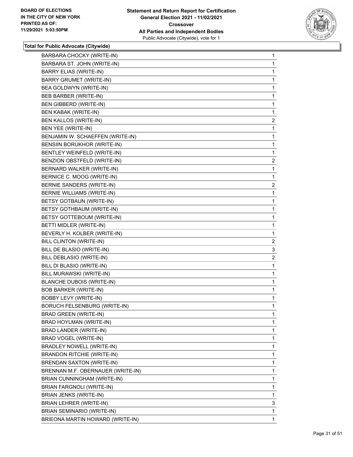

| BARBARA CHOCKY (WRITE-IN)           | 1              |
|-------------------------------------|----------------|
| BARBARA ST. JOHN (WRITE-IN)         | 1              |
| <b>BARRY ELIAS (WRITE-IN)</b>       | 1              |
| <b>BARRY GRUMET (WRITE-IN)</b>      | 1              |
| BEA GOLDWYN (WRITE-IN)              | 1              |
| BEB BARBER (WRITE-IN)               | 1              |
| BEN GIBBERD (WRITE-IN)              | 1              |
| <b>BEN KABAK (WRITE-IN)</b>         | 1              |
| BEN KALLOS (WRITE-IN)               | $\overline{c}$ |
| BEN YEE (WRITE-IN)                  | 1              |
| BENJAMIN W. SCHAEFFEN (WRITE-IN)    | 1              |
| BENSIIN BORUKHOR (WRITE-IN)         | 1              |
| BENTLEY WEINFELD (WRITE-IN)         | 1              |
| BENZION OBSTFELD (WRITE-IN)         | $\overline{c}$ |
| BERNARD WALKER (WRITE-IN)           | 1              |
| BERNICE C. MOOG (WRITE-IN)          | 1              |
| BERNIE SANDERS (WRITE-IN)           | $\overline{c}$ |
| <b>BERNIE WILLIAMS (WRITE-IN)</b>   | 1              |
| BETSY GOTBAUN (WRITE-IN)            | 1              |
| BETSY GOTHBAUM (WRITE-IN)           | 1              |
| BETSY GOTTEBOUM (WRITE-IN)          | 1              |
| BETTI MIDLER (WRITE-IN)             | 1              |
| BEVERLY H. KOLBER (WRITE-IN)        | 1              |
| BILL CLINTON (WRITE-IN)             | $\overline{2}$ |
| BILL DE BLASIO (WRITE-IN)           | 3              |
| BILL DEBLASIO (WRITE-IN)            | 2              |
| BILL DI BLASIO (WRITE-IN)           | 1              |
| BILL MURAWSKI (WRITE-IN)            | 1              |
| <b>BLANCHE DUBOIS (WRITE-IN)</b>    | 1              |
| <b>BOB BARKER (WRITE-IN)</b>        | 1              |
| BOBBY LEVY (WRITE-IN)               | 1              |
| <b>BORUCH FELSENBURG (WRITE-IN)</b> | 1              |
| <b>BRAD GREEN (WRITE-IN)</b>        | 1              |
| BRAD HOYLMAN (WRITE-IN)             | 1              |
| BRAD LANDER (WRITE-IN)              | 1              |
| BRAD VOGEL (WRITE-IN)               | 1              |
| BRADLEY NOWELL (WRITE-IN)           | 1              |
| <b>BRANDON RITCHIE (WRITE-IN)</b>   | 1              |
| BRENDAN SAXTON (WRITE-IN)           | 1              |
| BRENNAN M.F. OBERNAUER (WRITE-IN)   | 1              |
| BRIAN CUNNINGHAM (WRITE-IN)         | 1              |
| BRIAN FARGNOLI (WRITE-IN)           | 1              |
| BRIAN JENKS (WRITE-IN)              | 1              |
| BRIAN LEHRER (WRITE-IN)             | 3              |
| BRIAN SEMINARIO (WRITE-IN)          | 1              |
| BRIEONA MARTIN HOWARD (WRITE-IN)    | 1              |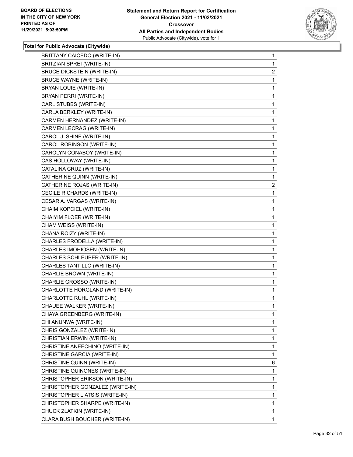

| BRITTANY CAICEDO (WRITE-IN)       | $\mathbf 1$    |
|-----------------------------------|----------------|
| BRITZIAN SPREI (WRITE-IN)         | 1              |
| <b>BRUCE DICKSTEIN (WRITE-IN)</b> | $\overline{a}$ |
| <b>BRUCE WAYNE (WRITE-IN)</b>     | 1              |
| BRYAN LOUIE (WRITE-IN)            | 1              |
| BRYAN PERRI (WRITE-IN)            | 1              |
| CARL STUBBS (WRITE-IN)            | 1              |
| CARLA BERKLEY (WRITE-IN)          | 1              |
| CARMEN HERNANDEZ (WRITE-IN)       | 1              |
| CARMEN LECRAG (WRITE-IN)          | 1              |
| CAROL J. SHINE (WRITE-IN)         | 1              |
| CAROL ROBINSON (WRITE-IN)         | 1              |
| CAROLYN CONABOY (WRITE-IN)        | 1              |
| CAS HOLLOWAY (WRITE-IN)           | 1              |
| CATALINA CRUZ (WRITE-IN)          | 1              |
| CATHERINE QUINN (WRITE-IN)        | 1              |
| CATHERINE ROJAS (WRITE-IN)        | $\overline{c}$ |
| CECILE RICHARDS (WRITE-IN)        | 1              |
| CESAR A. VARGAS (WRITE-IN)        | 1              |
| CHAIM KOPCIEL (WRITE-IN)          | 1              |
| CHAIYIM FLOER (WRITE-IN)          | 1              |
| CHAM WEISS (WRITE-IN)             | 1              |
| CHANA ROIZY (WRITE-IN)            | 1              |
| CHARLES FRODELLA (WRITE-IN)       | 1              |
| CHARLES IMOHIOSEN (WRITE-IN)      | 1              |
| CHARLES SCHLEUBER (WRITE-IN)      | 1              |
| CHARLES TANTILLO (WRITE-IN)       | 1              |
| CHARLIE BROWN (WRITE-IN)          | 1              |
| CHARLIE GROSSO (WRITE-IN)         | 1              |
| CHARLOTTE HORGLAND (WRITE-IN)     | 1              |
| CHARLOTTE RUHL (WRITE-IN)         | 1              |
| CHAUEE WALKER (WRITE-IN)          | 1              |
| CHAYA GREENBERG (WRITE-IN)        | 1              |
| CHI ANUNWA (WRITE-IN)             | $\mathbf{1}$   |
| CHRIS GONZALEZ (WRITE-IN)         | 1              |
| CHRISTIAN ERWIN (WRITE-IN)        | 1              |
| CHRISTINE ANEECHINO (WRITE-IN)    | 1              |
| CHRISTINE GARCIA (WRITE-IN)       | 1              |
| CHRISTINE QUINN (WRITE-IN)        | 6              |
| CHRISTINE QUINONES (WRITE-IN)     | 1              |
| CHRISTOPHER ERIKSON (WRITE-IN)    | 1              |
| CHRISTOPHER GONZALEZ (WRITE-IN)   | 1              |
| CHRISTOPHER LIATSIS (WRITE-IN)    | 1              |
| CHRISTOPHER SHARPE (WRITE-IN)     | 1              |
| CHUCK ZLATKIN (WRITE-IN)          | 1              |
| CLARA BUSH BOUCHER (WRITE-IN)     | $\mathbf{1}$   |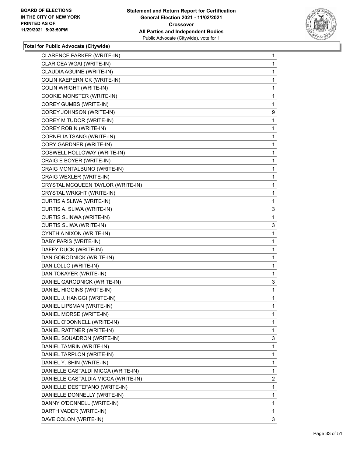

| 1<br>1<br>1<br>1<br>1<br>1<br>9<br>1<br>1<br>1<br>1<br>1<br>1<br>1<br>1<br>1<br>1<br>1<br>3<br>1<br>3<br>1<br>1<br>1 | CLARENCE PARKER (WRITE-IN)          | 1 |
|----------------------------------------------------------------------------------------------------------------------|-------------------------------------|---|
|                                                                                                                      | CLARICEA WGAI (WRITE-IN)            |   |
|                                                                                                                      | CLAUDIA AGUINE (WRITE-IN)           |   |
|                                                                                                                      | COLIN KAEPERNICK (WRITE-IN)         |   |
|                                                                                                                      | <b>COLIN WRIGHT (WRITE-IN)</b>      |   |
|                                                                                                                      | COOKIE MONSTER (WRITE-IN)           |   |
|                                                                                                                      | COREY GUMBS (WRITE-IN)              |   |
|                                                                                                                      | COREY JOHNSON (WRITE-IN)            |   |
|                                                                                                                      | COREY M TUDOR (WRITE-IN)            |   |
|                                                                                                                      | COREY ROBIN (WRITE-IN)              |   |
|                                                                                                                      | CORNELIA TSANG (WRITE-IN)           |   |
|                                                                                                                      | CORY GARDNER (WRITE-IN)             |   |
|                                                                                                                      | COSWELL HOLLOWAY (WRITE-IN)         |   |
|                                                                                                                      | CRAIG E BOYER (WRITE-IN)            |   |
|                                                                                                                      | CRAIG MONTALBUNO (WRITE-IN)         |   |
|                                                                                                                      | CRAIG WEXLER (WRITE-IN)             |   |
|                                                                                                                      | CRYSTAL MCQUEEN TAYLOR (WRITE-IN)   |   |
|                                                                                                                      | CRYSTAL WRIGHT (WRITE-IN)           |   |
|                                                                                                                      | CURTIS A SLIWA (WRITE-IN)           |   |
|                                                                                                                      | CURTIS A. SLIWA (WRITE-IN)          |   |
|                                                                                                                      | <b>CURTIS SLINWA (WRITE-IN)</b>     |   |
|                                                                                                                      | CURTIS SLIWA (WRITE-IN)             |   |
|                                                                                                                      | CYNTHIA NIXON (WRITE-IN)            |   |
|                                                                                                                      | DABY PARIS (WRITE-IN)               |   |
|                                                                                                                      | DAFFY DUCK (WRITE-IN)               |   |
| 1                                                                                                                    | DAN GORODNICK (WRITE-IN)            |   |
| 1                                                                                                                    | DAN LOLLO (WRITE-IN)                |   |
|                                                                                                                      | DAN TOKAYER (WRITE-IN)              | 1 |
|                                                                                                                      | DANIEL GARODNICK (WRITE-IN)         |   |
| 3                                                                                                                    | DANIEL HIGGINS (WRITE-IN)           | 1 |
|                                                                                                                      | DANIEL J. HANGGI (WRITE-IN)         | 1 |
|                                                                                                                      | DANIEL LIPSMAN (WRITE-IN)           | 1 |
|                                                                                                                      | DANIEL MORSE (WRITE-IN)             | 1 |
|                                                                                                                      | DANIEL O'DONNELL (WRITE-IN)         |   |
| $\mathbf{1}$                                                                                                         | DANIEL RATTNER (WRITE-IN)           | 1 |
|                                                                                                                      | DANIEL SQUADRON (WRITE-IN)          |   |
| 3                                                                                                                    | DANIEL TAMRIN (WRITE-IN)            | 1 |
|                                                                                                                      | DANIEL TARPLON (WRITE-IN)           | 1 |
|                                                                                                                      | DANIEL Y. SHIN (WRITE-IN)           | 1 |
|                                                                                                                      | DANIELLE CASTALDI MICCA (WRITE-IN)  |   |
| 1                                                                                                                    |                                     |   |
| 2                                                                                                                    | DANIELLE CASTALDIA MICCA (WRITE-IN) |   |
| 1                                                                                                                    | DANIELLE DESTEFANO (WRITE-IN)       |   |
| 1                                                                                                                    | DANIELLE DONNELLY (WRITE-IN)        |   |
| $\mathbf{1}$                                                                                                         | DANNY O'DONNELL (WRITE-IN)          |   |
| 1                                                                                                                    | DARTH VADER (WRITE-IN)              |   |
|                                                                                                                      |                                     |   |
|                                                                                                                      |                                     |   |
|                                                                                                                      |                                     |   |
|                                                                                                                      |                                     |   |
|                                                                                                                      |                                     |   |
|                                                                                                                      |                                     |   |
|                                                                                                                      |                                     |   |
|                                                                                                                      |                                     |   |
|                                                                                                                      |                                     |   |
|                                                                                                                      |                                     |   |
|                                                                                                                      |                                     |   |
|                                                                                                                      |                                     |   |
|                                                                                                                      |                                     |   |
|                                                                                                                      |                                     |   |
|                                                                                                                      |                                     |   |
|                                                                                                                      |                                     |   |
|                                                                                                                      |                                     |   |
|                                                                                                                      |                                     |   |
|                                                                                                                      |                                     |   |
|                                                                                                                      |                                     |   |
|                                                                                                                      |                                     |   |
|                                                                                                                      |                                     |   |
|                                                                                                                      |                                     |   |
|                                                                                                                      |                                     |   |
|                                                                                                                      |                                     |   |
|                                                                                                                      |                                     |   |
|                                                                                                                      |                                     |   |
|                                                                                                                      |                                     |   |
|                                                                                                                      |                                     |   |
|                                                                                                                      |                                     |   |
|                                                                                                                      |                                     |   |
|                                                                                                                      |                                     |   |
|                                                                                                                      |                                     |   |
|                                                                                                                      |                                     |   |
|                                                                                                                      |                                     |   |
|                                                                                                                      |                                     |   |
|                                                                                                                      |                                     |   |
|                                                                                                                      |                                     |   |
|                                                                                                                      |                                     |   |
|                                                                                                                      |                                     |   |
|                                                                                                                      |                                     |   |
|                                                                                                                      |                                     |   |
|                                                                                                                      |                                     |   |
|                                                                                                                      |                                     |   |
| 3                                                                                                                    | DAVE COLON (WRITE-IN)               |   |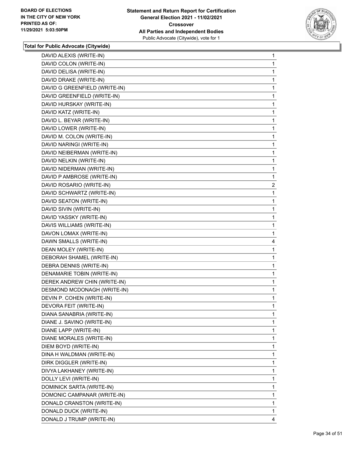

| DAVID ALEXIS (WRITE-IN)       | 1              |
|-------------------------------|----------------|
| DAVID COLON (WRITE-IN)        | 1              |
| DAVID DELISA (WRITE-IN)       | 1              |
| DAVID DRAKE (WRITE-IN)        | 1              |
| DAVID G GREENFIELD (WRITE-IN) | 1              |
| DAVID GREENFIELD (WRITE-IN)   | 1              |
| DAVID HURSKAY (WRITE-IN)      | 1              |
| DAVID KATZ (WRITE-IN)         | 1              |
| DAVID L. BEYAR (WRITE-IN)     | 1              |
| DAVID LOWER (WRITE-IN)        | 1              |
| DAVID M. COLON (WRITE-IN)     | 1              |
| DAVID NARINGI (WRITE-IN)      | 1              |
| DAVID NEIBERMAN (WRITE-IN)    | 1              |
| DAVID NELKIN (WRITE-IN)       | 1              |
| DAVID NIDERMAN (WRITE-IN)     | 1              |
| DAVID P AMBROSE (WRITE-IN)    | 1              |
| DAVID ROSARIO (WRITE-IN)      | $\overline{a}$ |
| DAVID SCHWARTZ (WRITE-IN)     | 1              |
| DAVID SEATON (WRITE-IN)       | 1              |
| DAVID SIVIN (WRITE-IN)        | $\mathbf{1}$   |
| DAVID YASSKY (WRITE-IN)       | 1              |
| DAVIS WILLIAMS (WRITE-IN)     | 1              |
| DAVON LOMAX (WRITE-IN)        | 1              |
| DAWN SMALLS (WRITE-IN)        | 4              |
| DEAN MOLEY (WRITE-IN)         | 1              |
| DEBORAH SHAMEL (WRITE-IN)     | $\mathbf{1}$   |
| DEBRA DENNIS (WRITE-IN)       | 1              |
| DENAMARIE TOBIN (WRITE-IN)    | 1              |
| DEREK ANDREW CHIN (WRITE-IN)  | 1              |
| DESMOND MCDONAGH (WRITE-IN)   | 1              |
| DEVIN P. COHEN (WRITE-IN)     | 1              |
| DEVORA FEIT (WRITE-IN)        | 1              |
|                               | 1              |
| DIANA SANABRIA (WRITE-IN)     | 1              |
| DIANE J. SAVINO (WRITE-IN)    |                |
| DIANE LAPP (WRITE-IN)         | 1              |
| DIANE MORALES (WRITE-IN)      | 1              |
| DIEM BOYD (WRITE-IN)          | 1              |
| DINA H WALDMAN (WRITE-IN)     | 1              |
| DIRK DIGGLER (WRITE-IN)       | 1              |
| DIVYA LAKHANEY (WRITE-IN)     | 1              |
| DOLLY LEVI (WRITE-IN)         | 1              |
| DOMINICK SARTA (WRITE-IN)     | 1              |
| DOMONIC CAMPANAR (WRITE-IN)   | 1              |
| DONALD CRANSTON (WRITE-IN)    | 1              |
| DONALD DUCK (WRITE-IN)        | 1              |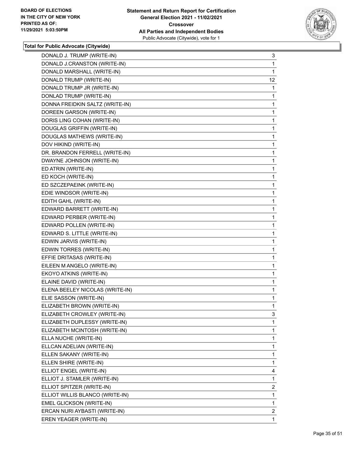

| DONALD J. TRUMP (WRITE-IN)      | 3              |
|---------------------------------|----------------|
| DONALD J.CRANSTON (WRITE-IN)    | 1              |
| DONALD MARSHALL (WRITE-IN)      | 1              |
| DONALD TRUMP (WRITE-IN)         | 12             |
| DONALD TRUMP JR (WRITE-IN)      | 1              |
| DONLAD TRUMP (WRITE-IN)         | 1              |
| DONNA FREIDKIN SALTZ (WRITE-IN) | 1              |
| DOREEN GARSON (WRITE-IN)        | 1              |
| DORIS LING COHAN (WRITE-IN)     | 1              |
| DOUGLAS GRIFFIN (WRITE-IN)      | 1              |
| DOUGLAS MATHEWS (WRITE-IN)      | 1              |
| DOV HIKIND (WRITE-IN)           | 1              |
| DR. BRANDON FERRELL (WRITE-IN)  | 1              |
| DWAYNE JOHNSON (WRITE-IN)       | 1              |
| ED ATRIN (WRITE-IN)             | 1              |
| ED KOCH (WRITE-IN)              | 1              |
| ED SZCZEPAEINK (WRITE-IN)       | 1              |
| EDIE WINDSOR (WRITE-IN)         | 1              |
| EDITH GAHL (WRITE-IN)           | 1              |
| EDWARD BARRETT (WRITE-IN)       | 1              |
| EDWARD PERBER (WRITE-IN)        | 1              |
| EDWARD POLLEN (WRITE-IN)        | 1              |
| EDWARD S. LITTLE (WRITE-IN)     | 1              |
| EDWIN JARVIS (WRITE-IN)         | 1              |
| EDWIN TORRES (WRITE-IN)         | 1              |
| EFFIE DRITASAS (WRITE-IN)       | 1              |
| EILEEN M ANGELO (WRITE-IN)      | 1              |
| EKOYO ATKINS (WRITE-IN)         | 1              |
| ELAINE DAVID (WRITE-IN)         | 1              |
| ELENA BEELEY NICOLAS (WRITE-IN) | 1              |
| ELIE SASSON (WRITE-IN)          | 1              |
| ELIZABETH BROWN (WRITE-IN)      | 1              |
| ELIZABETH CROWLEY (WRITE-IN)    | 3              |
| ELIZABETH DUPLESSY (WRITE-IN)   | 1              |
| ELIZABETH MCINTOSH (WRITE-IN)   | 1              |
| ELLA NUCHE (WRITE-IN)           | 1              |
| ELLCAN ADELIAN (WRITE-IN)       | 1              |
| ELLEN SAKANY (WRITE-IN)         | 1              |
| ELLEN SHIRE (WRITE-IN)          | 1              |
| ELLIOT ENGEL (WRITE-IN)         | 4              |
| ELLIOT J. STAMLER (WRITE-IN)    | 1              |
| ELLIOT SPITZER (WRITE-IN)       | $\overline{2}$ |
| ELLIOT WILLIS BLANCO (WRITE-IN) | 1              |
| EMEL GLICKSON (WRITE-IN)        | 1              |
| ERCAN NURI AYBASTI (WRITE-IN)   | $\overline{2}$ |
| EREN YEAGER (WRITE-IN)          | 1.             |
|                                 |                |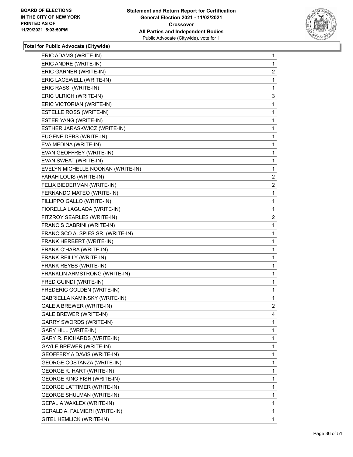

| ERIC ADAMS (WRITE-IN)              | 1              |
|------------------------------------|----------------|
| ERIC ANDRE (WRITE-IN)              | 1              |
| ERIC GARNER (WRITE-IN)             | $\overline{2}$ |
| ERIC LACEWELL (WRITE-IN)           | 1              |
| ERIC RASSI (WRITE-IN)              | 1              |
| ERIC ULRICH (WRITE-IN)             | 3              |
| ERIC VICTORIAN (WRITE-IN)          | 1              |
| ESTELLE ROSS (WRITE-IN)            | $\mathbf{1}$   |
| ESTER YANG (WRITE-IN)              | 1              |
| ESTHER JARASKWICZ (WRITE-IN)       | 1              |
| EUGENE DEBS (WRITE-IN)             | 1              |
| EVA MEDINA (WRITE-IN)              | 1              |
| EVAN GEOFFREY (WRITE-IN)           | 1              |
| EVAN SWEAT (WRITE-IN)              | 1              |
| EVELYN MICHELLE NOONAN (WRITE-IN)  | $\mathbf 1$    |
| FARAH LOUIS (WRITE-IN)             | $\overline{2}$ |
| FELIX BIEDERMAN (WRITE-IN)         | $\overline{2}$ |
| FERNANDO MATEO (WRITE-IN)          | 1              |
| FILLIPPO GALLO (WRITE-IN)          | 1              |
| FIORELLA LAGUADA (WRITE-IN)        | 1              |
| FITZROY SEARLES (WRITE-IN)         | $\overline{2}$ |
| FRANCIS CABRINI (WRITE-IN)         | 1              |
| FRANCISCO A. SPIES SR. (WRITE-IN)  | 1              |
| FRANK HERBERT (WRITE-IN)           | 1              |
| FRANK O'HARA (WRITE-IN)            | 1              |
| FRANK REILLY (WRITE-IN)            | $\mathbf{1}$   |
| FRANK REYES (WRITE-IN)             | 1              |
| FRANKLIN ARMSTRONG (WRITE-IN)      | 1              |
| FRED GUINDI (WRITE-IN)             | 1              |
| FREDERIC GOLDEN (WRITE-IN)         | 1              |
| GABRIELLA KAMINSKY (WRITE-IN)      | 1              |
| GALE A BREWER (WRITE-IN)           | $\overline{2}$ |
| GALE BREWER (WRITE-IN)             | 4              |
| <b>GARRY SWORDS (WRITE-IN)</b>     | 1              |
| <b>GARY HILL (WRITE-IN)</b>        | 1              |
| GARY R. RICHARDS (WRITE-IN)        | 1              |
| GAYLE BREWER (WRITE-IN)            | 1              |
| GEOFFERY A DAVIS (WRITE-IN)        | 1              |
| GEORGE COSTANZA (WRITE-IN)         | 1              |
| <b>GEORGE K. HART (WRITE-IN)</b>   | 1              |
| <b>GEORGE KING FISH (WRITE-IN)</b> | 1              |
| <b>GEORGE LATTIMER (WRITE-IN)</b>  | 1              |
| <b>GEORGE SHULMAN (WRITE-IN)</b>   | 1              |
| GEPALIA WAXLEX (WRITE-IN)          | 1              |
| GERALD A. PALMIERI (WRITE-IN)      | 1              |
| GITEL HEMLICK (WRITE-IN)           | 1              |
|                                    |                |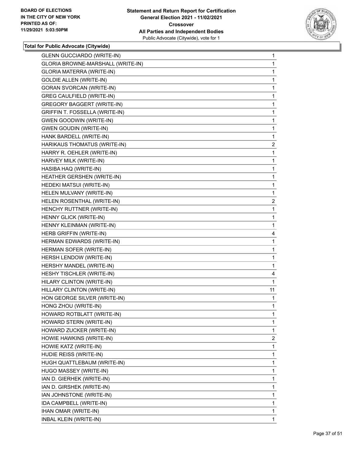

| <b>GLENN GUCCIARDO (WRITE-IN)</b> | $\mathbf{1}$   |
|-----------------------------------|----------------|
| GLORIA BROWNE-MARSHALL (WRITE-IN) | 1              |
| GLORIA MATERRA (WRITE-IN)         | 1              |
| <b>GOLDIE ALLEN (WRITE-IN)</b>    | 1              |
| <b>GORAN SVORCAN (WRITE-IN)</b>   | 1              |
| <b>GREG CAULFIELD (WRITE-IN)</b>  | 1              |
| <b>GREGORY BAGGERT (WRITE-IN)</b> | 1              |
| GRIFFIN T. FOSSELLA (WRITE-IN)    | 1              |
| <b>GWEN GOODWIN (WRITE-IN)</b>    | 1              |
| <b>GWEN GOUDIN (WRITE-IN)</b>     | 1              |
| HANK BARDELL (WRITE-IN)           | 1              |
| HARIKAUS THOMATUS (WRITE-IN)      | $\overline{c}$ |
| HARRY R. OEHLER (WRITE-IN)        | 1              |
| HARVEY MILK (WRITE-IN)            | 1              |
| HASIBA HAQ (WRITE-IN)             | 1              |
| HEATHER GERSHEN (WRITE-IN)        | 1              |
| HEDEKI MATSUI (WRITE-IN)          | 1              |
| HELEN MULVANY (WRITE-IN)          | 1              |
| HELEN ROSENTHAL (WRITE-IN)        | $\overline{2}$ |
| HENCHY RUTTNER (WRITE-IN)         | 1              |
| HENNY GLICK (WRITE-IN)            | 1              |
| HENNY KLEINMAN (WRITE-IN)         | 1              |
| HERB GRIFFIN (WRITE-IN)           | 4              |
| HERMAN EDWARDS (WRITE-IN)         | 1              |
| HERMAN SOFER (WRITE-IN)           | 1              |
| HERSH LENDOW (WRITE-IN)           | 1              |
| HERSHY MANDEL (WRITE-IN)          | 1              |
| HESHY TISCHLER (WRITE-IN)         | 4              |
| HILARY CLINTON (WRITE-IN)         | 1              |
| HILLARY CLINTON (WRITE-IN)        | 11             |
| HON GEORGE SILVER (WRITE-IN)      | 1              |
| HONG ZHOU (WRITE-IN)              | 1              |
| HOWARD ROTBLATT (WRITE-IN)        | 1              |
| HOWARD STERN (WRITE-IN)           | 1              |
| HOWARD ZUCKER (WRITE-IN)          | 1              |
| HOWIE HAWKINS (WRITE-IN)          | 2              |
| HOWIE KATZ (WRITE-IN)             | 1              |
| HUDIE REISS (WRITE-IN)            | 1              |
| HUGH QUATTLEBAUM (WRITE-IN)       | 1              |
| HUGO MASSEY (WRITE-IN)            | 1              |
| IAN D. GIERHEK (WRITE-IN)         | 1              |
| IAN D. GIRSHEK (WRITE-IN)         | 1              |
| IAN JOHNSTONE (WRITE-IN)          | 1              |
| IDA CAMPBELL (WRITE-IN)           | 1              |
| IHAN OMAR (WRITE-IN)              | 1              |
| <b>INBAL KLEIN (WRITE-IN)</b>     | 1              |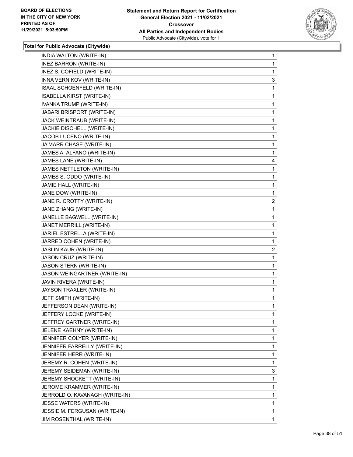

| INDIA WALTON (WRITE-IN)        | 1                       |
|--------------------------------|-------------------------|
| <b>INEZ BARRON (WRITE-IN)</b>  | 1                       |
| INEZ S. COFIELD (WRITE-IN)     | 1                       |
| INNA VERNIKOV (WRITE-IN)       | 3                       |
| ISAAL SCHOENFELD (WRITE-IN)    | 1                       |
| ISABELLA KIRST (WRITE-IN)      | 1                       |
| IVANKA TRUMP (WRITE-IN)        | 1                       |
| JABARI BRISPORT (WRITE-IN)     | 1                       |
| JACK WEINTRAUB (WRITE-IN)      | 1                       |
| JACKIE DISCHELL (WRITE-IN)     | 1                       |
| JACOB LUCENO (WRITE-IN)        | 1                       |
| JA'MARR CHASE (WRITE-IN)       | 1                       |
| JAMES A. ALFANO (WRITE-IN)     | 1                       |
| JAMES LANE (WRITE-IN)          | 4                       |
| JAMES NETTLETON (WRITE-IN)     | 1                       |
| JAMES S. ODDO (WRITE-IN)       | 1                       |
| JAMIE HALL (WRITE-IN)          | 1                       |
| JANE DOW (WRITE-IN)            | 1                       |
| JANE R. CROTTY (WRITE-IN)      | $\overline{\mathbf{c}}$ |
| JANE ZHANG (WRITE-IN)          | 1                       |
| JANELLE BAGWELL (WRITE-IN)     | 1                       |
| JANET MERRILL (WRITE-IN)       | 1                       |
| JARIEL ESTRELLA (WRITE-IN)     | 1                       |
| JARRED COHEN (WRITE-IN)        | 1                       |
| JASLIN KAUR (WRITE-IN)         | $\overline{\mathbf{c}}$ |
| JASON CRUZ (WRITE-IN)          | 1                       |
| JASON STERN (WRITE-IN)         | 1                       |
| JASON WEINGARTNER (WRITE-IN)   | 1                       |
| JAVIN RIVERA (WRITE-IN)        | 1                       |
| JAYSON TRAXLER (WRITE-IN)      | 1                       |
| JEFF SMITH (WRITE-IN)          | 1                       |
| JEFFERSON DEAN (WRITE-IN)      | 1                       |
| JEFFERY LOCKE (WRITE-IN)       | 1                       |
| JEFFREY GARTNER (WRITE-IN)     | 1                       |
| JELENE KAEHNY (WRITE-IN)       | 1                       |
| JENNIFER COLYER (WRITE-IN)     | 1                       |
| JENNIFER FARRELLY (WRITE-IN)   | 1                       |
| JENNIFER HERR (WRITE-IN)       | 1                       |
| JEREMY R. COHEN (WRITE-IN)     | 1                       |
| JEREMY SEIDEMAN (WRITE-IN)     | 3                       |
| JEREMY SHOCKETT (WRITE-IN)     | 1                       |
| JEROME KRAMMER (WRITE-IN)      | 1                       |
| JERROLD O. KAVANAGH (WRITE-IN) | 1                       |
| JESSE WATERS (WRITE-IN)        | 1                       |
| JESSIE M. FERGUSAN (WRITE-IN)  | 1                       |
| JIM ROSENTHAL (WRITE-IN)       | 1                       |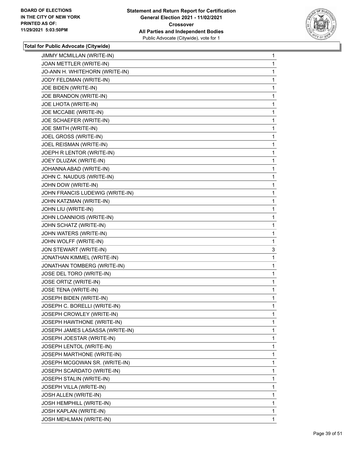

| JIMMY MCMILLAN (WRITE-IN)       | 1            |
|---------------------------------|--------------|
| JOAN METTLER (WRITE-IN)         | 1            |
| JO-ANN H. WHITEHORN (WRITE-IN)  | 1            |
| JODY FELDMAN (WRITE-IN)         | 1            |
| JOE BIDEN (WRITE-IN)            | 1            |
| JOE BRANDON (WRITE-IN)          | 1            |
| JOE LHOTA (WRITE-IN)            | 1            |
| JOE MCCABE (WRITE-IN)           | 1            |
| JOE SCHAEFER (WRITE-IN)         | 1            |
| JOE SMITH (WRITE-IN)            | 1            |
| JOEL GROSS (WRITE-IN)           | 1            |
| JOEL REISMAN (WRITE-IN)         | 1            |
| JOEPH R LENTOR (WRITE-IN)       | 1            |
| JOEY DLUZAK (WRITE-IN)          | 1            |
| JOHANNA ABAD (WRITE-IN)         | 1            |
| JOHN C. NAUDUS (WRITE-IN)       | 1            |
| JOHN DOW (WRITE-IN)             | 1            |
| JOHN FRANCIS LUDEWIG (WRITE-IN) | 1            |
| JOHN KATZMAN (WRITE-IN)         | 1            |
| JOHN LIU (WRITE-IN)             | 1            |
| JOHN LOANNIOIS (WRITE-IN)       | 1            |
| JOHN SCHATZ (WRITE-IN)          | 1            |
| JOHN WATERS (WRITE-IN)          | 1            |
| JOHN WOLFF (WRITE-IN)           | 1            |
| JON STEWART (WRITE-IN)          | 3            |
| JONATHAN KIMMEL (WRITE-IN)      | 1            |
| JONATHAN TOMBERG (WRITE-IN)     | 1            |
| JOSE DEL TORO (WRITE-IN)        | 1            |
| JOSE ORTIZ (WRITE-IN)           | 1            |
| JOSE TENA (WRITE-IN)            | 1            |
| JOSEPH BIDEN (WRITE-IN)         | $\mathbf{1}$ |
| JOSEPH C. BORELLI (WRITE-IN)    | 1            |
| JOSEPH CROWLEY (WRITE-IN)       | 1            |
| JOSEPH HAWTHONE (WRITE-IN)      | 1            |
| JOSEPH JAMES LASASSA (WRITE-IN) | 1            |
| JOSEPH JOESTAR (WRITE-IN)       | 1            |
| JOSEPH LENTOL (WRITE-IN)        | 1            |
| JOSEPH MARTHONE (WRITE-IN)      | 1            |
| JOSEPH MCGOWAN SR. (WRITE-IN)   | 1            |
| JOSEPH SCARDATO (WRITE-IN)      | 1            |
| <b>JOSEPH STALIN (WRITE-IN)</b> | 1            |
| JOSEPH VILLA (WRITE-IN)         | 1            |
| JOSH ALLEN (WRITE-IN)           | 1            |
| JOSH HEMPHILL (WRITE-IN)        | 1            |
| <b>JOSH KAPLAN (WRITE-IN)</b>   | 1            |
| JOSH MEHLMAN (WRITE-IN)         | 1.           |
|                                 |              |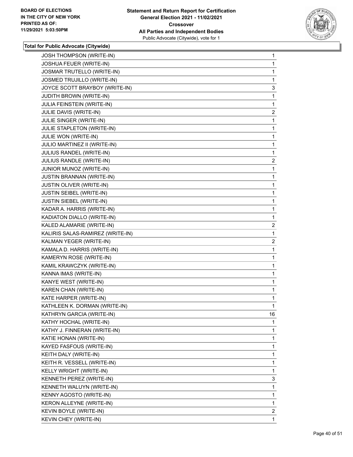

| JOSH THOMPSON (WRITE-IN)         | 1              |
|----------------------------------|----------------|
| JOSHUA FEUER (WRITE-IN)          | 1              |
| JOSMAR TRUTELLO (WRITE-IN)       | 1              |
| JOSMED TRUJILLO (WRITE-IN)       | 1              |
| JOYCE SCOTT BRAYBOY (WRITE-IN)   | 3              |
| <b>JUDITH BROWN (WRITE-IN)</b>   | 1              |
| JULIA FEINSTEIN (WRITE-IN)       | $\mathbf{1}$   |
| JULIE DAVIS (WRITE-IN)           | $\overline{a}$ |
| JULIE SINGER (WRITE-IN)          | 1              |
| JULIE STAPLETON (WRITE-IN)       | $\mathbf{1}$   |
| JULIE WON (WRITE-IN)             | 1              |
| JULIO MARTINEZ II (WRITE-IN)     | 1              |
| JULIUS RANDEL (WRITE-IN)         | $\mathbf{1}$   |
| JULIUS RANDLE (WRITE-IN)         | $\overline{a}$ |
| JUNIOR MUNOZ (WRITE-IN)          | 1              |
| <b>JUSTIN BRANNAN (WRITE-IN)</b> | $\mathbf{1}$   |
| JUSTIN OLIVER (WRITE-IN)         | 1              |
| <b>JUSTIN SEIBEL (WRITE-IN)</b>  | 1              |
| JUSTIN SIEBEL (WRITE-IN)         | $\mathbf{1}$   |
| KADAR A. HARRIS (WRITE-IN)       | 1              |
| KADIATON DIALLO (WRITE-IN)       | 1              |
| KALED ALAMARIE (WRITE-IN)        | $\overline{c}$ |
| KALIRIS SALAS-RAMIREZ (WRITE-IN) | 1              |
| KALMAN YEGER (WRITE-IN)          | $\overline{2}$ |
| KAMALA D. HARRIS (WRITE-IN)      | $\mathbf{1}$   |
| KAMERYN ROSE (WRITE-IN)          | 1              |
| KAMIL KRAWCZYK (WRITE-IN)        | 1              |
| KANNA IMAS (WRITE-IN)            | $\mathbf{1}$   |
| KANYE WEST (WRITE-IN)            | 1              |
| KAREN CHAN (WRITE-IN)            | 1              |
| KATE HARPER (WRITE-IN)           | $\mathbf{1}$   |
| KATHLEEN K. DORMAN (WRITE-IN)    | 1              |
| KATHRYN GARCIA (WRITE-IN)        | 16             |
| KATHY HOCHAL (WRITE-IN)          | 1              |
| KATHY J. FINNERAN (WRITE-IN)     | 1              |
| KATIE HONAN (WRITE-IN)           | 1              |
| KAYED FASFOUS (WRITE-IN)         | 1              |
| KEITH DALY (WRITE-IN)            | 1              |
| KEITH R. VESSELL (WRITE-IN)      | 1              |
| KELLY WRIGHT (WRITE-IN)          | 1              |
| KENNETH PEREZ (WRITE-IN)         | 3              |
| KENNETH WALUYN (WRITE-IN)        | 1              |
| KENNY AGOSTO (WRITE-IN)          | 1              |
| KERON ALLEYNE (WRITE-IN)         | 1              |
| KEVIN BOYLE (WRITE-IN)           | 2              |
| KEVIN CHEY (WRITE-IN)            | 1              |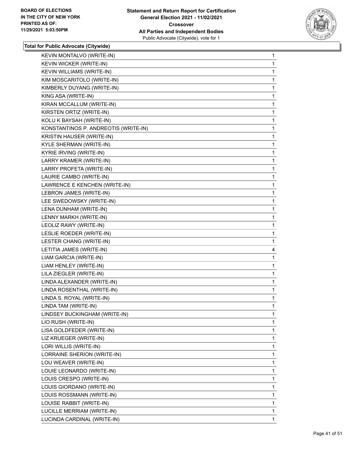

| KEVIN MONTALVO (WRITE-IN)            | 1 |
|--------------------------------------|---|
| KEVIN WICKER (WRITE-IN)              | 1 |
| KEVIN WILLIAMS (WRITE-IN)            | 1 |
| KIM MOSCARITOLO (WRITE-IN)           | 1 |
| KIMBERLY DUYANG (WRITE-IN)           | 1 |
| KING ASA (WRITE-IN)                  | 1 |
| KIRAN MCCALLUM (WRITE-IN)            | 1 |
| KIRSTEN ORTIZ (WRITE-IN)             | 1 |
| KOLU K BAYSAH (WRITE-IN)             | 1 |
| KONSTANTINOS P. ANDREOTIS (WRITE-IN) | 1 |
| KRISTIN HAUSER (WRITE-IN)            | 1 |
| KYLE SHERMAN (WRITE-IN)              | 1 |
| KYRIE IRVING (WRITE-IN)              | 1 |
| LARRY KRAMER (WRITE-IN)              | 1 |
| LARRY PROFETA (WRITE-IN)             | 1 |
| LAURIE CAMBO (WRITE-IN)              | 1 |
| LAWRENCE E KENCHEN (WRITE-IN)        | 1 |
| LEBRON JAMES (WRITE-IN)              | 1 |
| LEE SWEDOWSKY (WRITE-IN)             | 1 |
| LENA DUNHAM (WRITE-IN)               | 1 |
| LENNY MARKH (WRITE-IN)               | 1 |
| LEOLIZ RAWY (WRITE-IN)               | 1 |
| LESLIE ROEDER (WRITE-IN)             | 1 |
| LESTER CHANG (WRITE-IN)              | 1 |
| LETITIA JAMES (WRITE-IN)             | 4 |
| LIAM GARCIA (WRITE-IN)               | 1 |
| LIAM HENLEY (WRITE-IN)               | 1 |
| LILA ZIEGLER (WRITE-IN)              | 1 |
| LINDA ALEXANDER (WRITE-IN)           | 1 |
| LINDA ROSENTHAL (WRITE-IN)           | 1 |
| LINDA S. ROYAL (WRITE-IN)            | 1 |
| LINDA TAM (WRITE-IN)                 | 1 |
| LINDSEY BUCKINGHAM (WRITE-IN)        | 1 |
| LIO RUSH (WRITE-IN)                  | 1 |
| LISA GOLDFEDER (WRITE-IN)            | 1 |
| LIZ KRUEGER (WRITE-IN)               | 1 |
| LORI WILLIS (WRITE-IN)               | 1 |
| LORRAINE SHERION (WRITE-IN)          | 1 |
| LOU WEAVER (WRITE-IN)                | 1 |
| LOUIE LEONARDO (WRITE-IN)            | 1 |
| LOUIS CRESPO (WRITE-IN)              | 1 |
| LOUIS GIORDANO (WRITE-IN)            | 1 |
| LOUIS ROSSMANN (WRITE-IN)            | 1 |
| LOUISE RABBIT (WRITE-IN)             | 1 |
| LUCILLE MERRIAM (WRITE-IN)           | 1 |
| LUCINDA CARDINAL (WRITE-IN)          | 1 |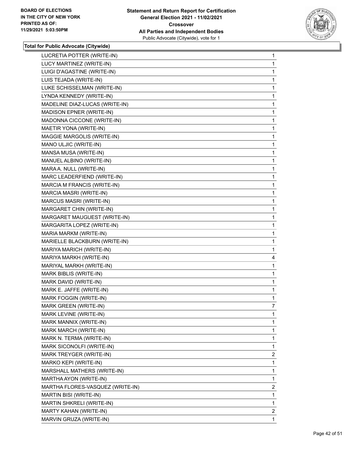

| LUCRETIA POTTER (WRITE-IN)       | 1              |
|----------------------------------|----------------|
| LUCY MARTINEZ (WRITE-IN)         | 1              |
| LUIGI D'AGASTINE (WRITE-IN)      | 1              |
| LUIS TEJADA (WRITE-IN)           | 1              |
| LUKE SCHISSELMAN (WRITE-IN)      | 1              |
| LYNDA KENNEDY (WRITE-IN)         | 1              |
| MADELINE DIAZ-LUCAS (WRITE-IN)   | 1              |
| MADISON EPNER (WRITE-IN)         | 1              |
| MADONNA CICCONE (WRITE-IN)       | 1              |
| MAETIR YONA (WRITE-IN)           | 1              |
| MAGGIE MARGOLIS (WRITE-IN)       | 1              |
| MANO ULJIC (WRITE-IN)            | 1              |
| MANSA MUSA (WRITE-IN)            | 1              |
| MANUEL ALBINO (WRITE-IN)         | 1              |
| MARA A. NULL (WRITE-IN)          | 1              |
| MARC LEADERFIEND (WRITE-IN)      | 1              |
| MARCIA M FRANCIS (WRITE-IN)      | 1              |
| MARCIA MASRI (WRITE-IN)          | 1              |
| <b>MARCUS MASRI (WRITE-IN)</b>   | 1              |
| MARGARET CHIN (WRITE-IN)         | 1              |
| MARGARET MAUGUEST (WRITE-IN)     | 1              |
| MARGARITA LOPEZ (WRITE-IN)       | 1              |
| MARIA MARKM (WRITE-IN)           | 1              |
| MARIELLE BLACKBURN (WRITE-IN)    | 1              |
| MARIYA MARICH (WRITE-IN)         | 1              |
| MARIYA MARKH (WRITE-IN)          | 4              |
| MARIYAL MARKH (WRITE-IN)         | 1              |
| MARK BIBLIS (WRITE-IN)           | 1              |
| MARK DAVID (WRITE-IN)            | 1              |
| MARK E. JAFFE (WRITE-IN)         | 1              |
| MARK FOGGIN (WRITE-IN)           | 1              |
| MARK GREEN (WRITE-IN)            | $\overline{7}$ |
| MARK LEVINE (WRITE-IN)           | 1              |
| MARK MANNIX (WRITE-IN)           | 1              |
| MARK MARCH (WRITE-IN)            | 1              |
| MARK N. TERMA (WRITE-IN)         | 1              |
| MARK SICONOLFI (WRITE-IN)        | 1              |
| MARK TREYGER (WRITE-IN)          | $\overline{2}$ |
| MARKO KEPI (WRITE-IN)            | 1              |
| MARSHALL MATHERS (WRITE-IN)      | 1              |
| MARTHA AYON (WRITE-IN)           | 1              |
| MARTHA FLORES-VASQUEZ (WRITE-IN) | $\overline{2}$ |
| MARTIN BISI (WRITE-IN)           | 1              |
| <b>MARTIN SHKRELI (WRITE-IN)</b> | 1              |
|                                  |                |
| MARTY KAHAN (WRITE-IN)           | 2              |
|                                  |                |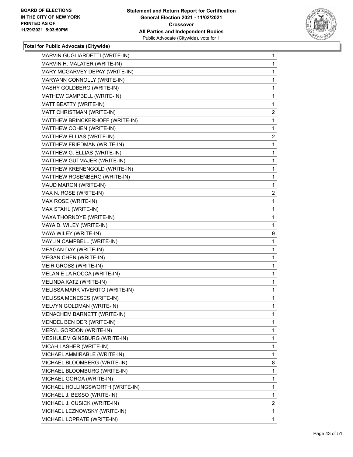

| MARVIN GUGLIARDETTI (WRITE-IN)   | $\mathbf{1}$   |
|----------------------------------|----------------|
| MARVIN H. MALATER (WRITE-IN)     | 1              |
| MARY MCGARVEY DEPAY (WRITE-IN)   | 1              |
| MARYANN CONNOLLY (WRITE-IN)      | 1              |
| MASHY GOLDBERG (WRITE-IN)        | 1              |
| MATHEW CAMPBELL (WRITE-IN)       | 1              |
| MATT BEATTY (WRITE-IN)           | 1              |
| MATT CHRISTMAN (WRITE-IN)        | $\overline{2}$ |
| MATTHEW BRINCKERHOFF (WRITE-IN)  | 1              |
| MATTHEW COHEN (WRITE-IN)         | 1              |
| MATTHEW ELLIAS (WRITE-IN)        | 2              |
| MATTHEW FRIEDMAN (WRITE-IN)      | 1              |
| MATTHEW G. ELLIAS (WRITE-IN)     | 1              |
| MATTHEW GUTMAJER (WRITE-IN)      | 1              |
| MATTHEW KRENENGOLD (WRITE-IN)    | 1              |
| MATTHEW ROSENBERG (WRITE-IN)     | 1              |
| MAUD MARON (WRITE-IN)            | 1              |
| MAX N. ROSE (WRITE-IN)           | $\overline{a}$ |
| MAX ROSE (WRITE-IN)              | 1              |
| MAX STAHL (WRITE-IN)             | 1              |
| MAXA THORNDYE (WRITE-IN)         | 1              |
| MAYA D. WILEY (WRITE-IN)         | 1              |
| MAYA WILEY (WRITE-IN)            | 9              |
| MAYLIN CAMPBELL (WRITE-IN)       | 1              |
| <b>MEAGAN DAY (WRITE-IN)</b>     | 1              |
| MEGAN CHEN (WRITE-IN)            | 1              |
| MEIR GROSS (WRITE-IN)            | 1              |
| MELANIE LA ROCCA (WRITE-IN)      | 1              |
| MELINDA KATZ (WRITE-IN)          | 1              |
| MELISSA MARK VIVERITO (WRITE-IN) | 1              |
| MELISSA MENESES (WRITE-IN)       | 1              |
| MELVYN GOLDMAN (WRITE-IN)        | 1              |
| MENACHEM BARNETT (WRITE-IN)      | 1              |
| MENDEL BEN DER (WRITE-IN)        | 1              |
| MERYL GORDON (WRITE-IN)          | 1              |
| MESHULEM GINSBURG (WRITE-IN)     | 1              |
| MICAH LASHER (WRITE-IN)          | 1              |
| MICHAEL AMMIRABLE (WRITE-IN)     | 1              |
| MICHAEL BLOOMBERG (WRITE-IN)     | 8              |
| MICHAEL BLOOMBURG (WRITE-IN)     | 1              |
| MICHAEL GORGA (WRITE-IN)         | 1              |
| MICHAEL HOLLINGSWORTH (WRITE-IN) | 1              |
| MICHAEL J. BESSO (WRITE-IN)      | 1              |
| MICHAEL J. CUSICK (WRITE-IN)     | $\overline{2}$ |
| MICHAEL LEZNOWSKY (WRITE-IN)     | 1              |
| MICHAEL LOPRATE (WRITE-IN)       | 1              |
|                                  |                |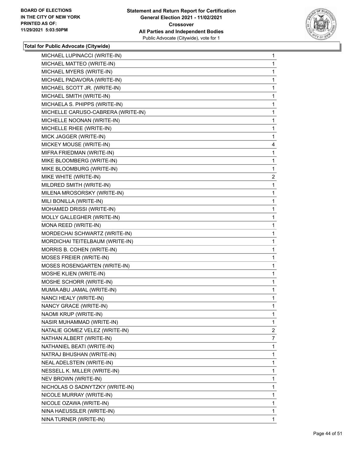

| MICHAEL LUPINACCI (WRITE-IN)       | 1              |
|------------------------------------|----------------|
| MICHAEL MATTEO (WRITE-IN)          | 1              |
| MICHAEL MYERS (WRITE-IN)           | 1              |
| MICHAEL PADAVORA (WRITE-IN)        | 1              |
| MICHAEL SCOTT JR. (WRITE-IN)       | 1              |
| MICHAEL SMITH (WRITE-IN)           | 1              |
| MICHAELA S. PHIPPS (WRITE-IN)      | 1              |
| MICHELLE CARUSO-CABRERA (WRITE-IN) | 1              |
| MICHELLE NOONAN (WRITE-IN)         | 1              |
| MICHELLE RHEE (WRITE-IN)           | 1              |
| MICK JAGGER (WRITE-IN)             | 1              |
| MICKEY MOUSE (WRITE-IN)            | 4              |
| MIFRA FRIEDMAN (WRITE-IN)          | 1              |
| MIKE BLOOMBERG (WRITE-IN)          | 1              |
| MIKE BLOOMBURG (WRITE-IN)          | 1              |
| MIKE WHITE (WRITE-IN)              | $\overline{2}$ |
| MILDRED SMITH (WRITE-IN)           | 1              |
| MILENA MROSORSKY (WRITE-IN)        | 1              |
| MILI BONILLA (WRITE-IN)            | 1              |
| MOHAMED DRISSI (WRITE-IN)          | 1              |
| MOLLY GALLEGHER (WRITE-IN)         | 1              |
| MONA REED (WRITE-IN)               | 1              |
| MORDECHAI SCHWARTZ (WRITE-IN)      | 1              |
| MORDICHAI TEITELBAUM (WRITE-IN)    | 1              |
| MORRIS B. COHEN (WRITE-IN)         | 1              |
| MOSES FREIER (WRITE-IN)            | 1              |
| MOSES ROSENGARTEN (WRITE-IN)       | 1              |
| MOSHE KLIEN (WRITE-IN)             | 1              |
| MOSHE SCHORR (WRITE-IN)            | 1              |
| MUMIA ABU JAMAL (WRITE-IN)         | 1              |
| NANCI HEALY (WRITE-IN)             | 1              |
| NANCY GRACE (WRITE-IN)             | 1              |
| NAOMI KRUP (WRITE-IN)              | 1              |
| NASIR MUHAMMAD (WRITE-IN)          | 1              |
| NATALIE GOMEZ VELEZ (WRITE-IN)     | $\overline{2}$ |
| NATHAN ALBERT (WRITE-IN)           | 7              |
| NATHANIEL BEATI (WRITE-IN)         | 1              |
| NATRAJ BHUSHAN (WRITE-IN)          | 1              |
| NEAL ADELSTEIN (WRITE-IN)          | 1              |
| NESSELL K. MILLER (WRITE-IN)       | 1              |
| NEV BROWN (WRITE-IN)               | 1              |
| NICHOLAS O SADNYTZKY (WRITE-IN)    | 1              |
| NICOLE MURRAY (WRITE-IN)           | 1              |
| NICOLE OZAWA (WRITE-IN)            | 1              |
| NINA HAEUSSLER (WRITE-IN)          | 1              |
| NINA TURNER (WRITE-IN)             | 1              |
|                                    |                |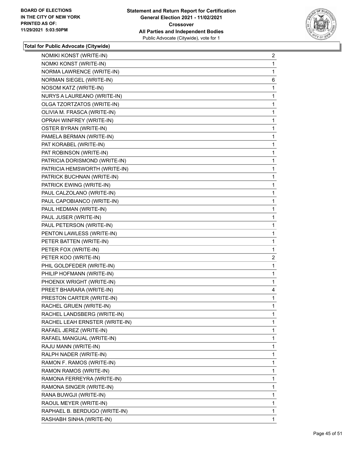

| NOMIKI KONST (WRITE-IN)        | $\overline{a}$ |
|--------------------------------|----------------|
| NOMKI KONST (WRITE-IN)         | 1              |
| NORMA LAWRENCE (WRITE-IN)      | 1              |
| NORMAN SIEGEL (WRITE-IN)       | 6              |
| NOSOM KATZ (WRITE-IN)          | 1              |
| NURYS A LAUREANO (WRITE-IN)    | 1              |
| OLGA TZORTZATOS (WRITE-IN)     | 1              |
| OLIVIA M. FRASCA (WRITE-IN)    | 1              |
| OPRAH WINFREY (WRITE-IN)       | 1              |
| <b>OSTER BYRAN (WRITE-IN)</b>  | $\mathbf{1}$   |
| PAMELA BERMAN (WRITE-IN)       | 1              |
| PAT KORABEL (WRITE-IN)         | 1              |
| PAT ROBINSON (WRITE-IN)        | $\mathbf{1}$   |
| PATRICIA DORISMOND (WRITE-IN)  | 1              |
| PATRICIA HEMSWORTH (WRITE-IN)  | 1              |
| PATRICK BUCHNAN (WRITE-IN)     | $\mathbf{1}$   |
| PATRICK EWING (WRITE-IN)       | 1              |
| PAUL CALZOLANO (WRITE-IN)      | 1              |
| PAUL CAPOBIANCO (WRITE-IN)     | $\mathbf{1}$   |
| PAUL HEDMAN (WRITE-IN)         | 1              |
| PAUL JUSER (WRITE-IN)          | 1              |
| PAUL PETERSON (WRITE-IN)       | $\mathbf{1}$   |
| PENTON LAWLESS (WRITE-IN)      | 1              |
| PETER BATTEN (WRITE-IN)        | 1              |
| PETER FOX (WRITE-IN)           | $\mathbf{1}$   |
| PETER KOO (WRITE-IN)           | $\overline{c}$ |
| PHIL GOLDFEDER (WRITE-IN)      | 1              |
| PHILIP HOFMANN (WRITE-IN)      | 1              |
| PHOENIX WRIGHT (WRITE-IN)      | 1              |
| PREET BHARARA (WRITE-IN)       | 4              |
| PRESTON CARTER (WRITE-IN)      | $\mathbf{1}$   |
| RACHEL GRUEN (WRITE-IN)        | 1              |
| RACHEL LANDSBERG (WRITE-IN)    | 1              |
| RACHEL LEAH ERNSTER (WRITE-IN) | 1              |
| RAFAEL JEREZ (WRITE-IN)        | 1              |
| RAFAEL MANGUAL (WRITE-IN)      | 1              |
| RAJU MANN (WRITE-IN)           | 1              |
| RALPH NADER (WRITE-IN)         | 1              |
| RAMON F. RAMOS (WRITE-IN)      | 1              |
| RAMON RAMOS (WRITE-IN)         | 1              |
| RAMONA FERREYRA (WRITE-IN)     | 1              |
| RAMONA SINGER (WRITE-IN)       | 1              |
| RANA BUWGJI (WRITE-IN)         | 1              |
| RAOUL MEYER (WRITE-IN)         | 1              |
| RAPHAEL B. BERDUGO (WRITE-IN)  | 1              |
| RASHABH SINHA (WRITE-IN)       | 1.             |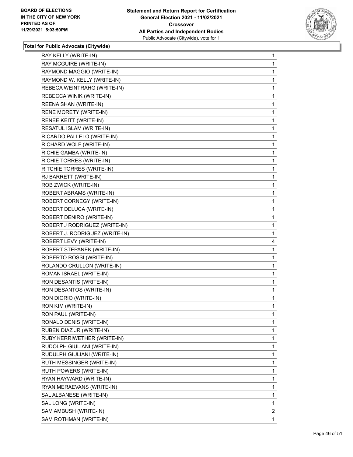

| 1<br>1<br>1<br>1<br>1<br>1<br>1<br>1<br>1<br>1<br>1<br>1<br>1<br>1<br>1<br>1<br>1<br>1<br>1<br>1<br>1<br>1<br>4<br>1<br>1<br>1<br>1<br>1 |
|------------------------------------------------------------------------------------------------------------------------------------------|
|                                                                                                                                          |
|                                                                                                                                          |
|                                                                                                                                          |
|                                                                                                                                          |
|                                                                                                                                          |
|                                                                                                                                          |
|                                                                                                                                          |
|                                                                                                                                          |
|                                                                                                                                          |
|                                                                                                                                          |
|                                                                                                                                          |
|                                                                                                                                          |
|                                                                                                                                          |
|                                                                                                                                          |
|                                                                                                                                          |
|                                                                                                                                          |
|                                                                                                                                          |
|                                                                                                                                          |
|                                                                                                                                          |
|                                                                                                                                          |
|                                                                                                                                          |
|                                                                                                                                          |
|                                                                                                                                          |
|                                                                                                                                          |
|                                                                                                                                          |
|                                                                                                                                          |
|                                                                                                                                          |
|                                                                                                                                          |
| 1                                                                                                                                        |
| 1                                                                                                                                        |
| 1                                                                                                                                        |
| 1                                                                                                                                        |
|                                                                                                                                          |
| 1                                                                                                                                        |
| 1                                                                                                                                        |
| 1                                                                                                                                        |
| 1                                                                                                                                        |
| 1                                                                                                                                        |
| 1                                                                                                                                        |
| 1                                                                                                                                        |
| 1                                                                                                                                        |
| 1                                                                                                                                        |
| 1                                                                                                                                        |
| 1                                                                                                                                        |
| 2                                                                                                                                        |
|                                                                                                                                          |
|                                                                                                                                          |
|                                                                                                                                          |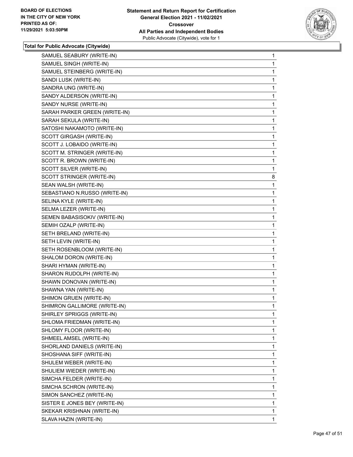

| SAMUEL SEABURY (WRITE-IN)     | 1 |
|-------------------------------|---|
| SAMUEL SINGH (WRITE-IN)       | 1 |
| SAMUEL STEINBERG (WRITE-IN)   | 1 |
| SANDI LUSK (WRITE-IN)         | 1 |
| SANDRA UNG (WRITE-IN)         | 1 |
| SANDY ALDERSON (WRITE-IN)     | 1 |
| SANDY NURSE (WRITE-IN)        | 1 |
| SARAH PARKER GREEN (WRITE-IN) | 1 |
| SARAH SEKULA (WRITE-IN)       | 1 |
| SATOSHI NAKAMOTO (WRITE-IN)   | 1 |
| SCOTT GIRGASH (WRITE-IN)      | 1 |
| SCOTT J. LOBAIDO (WRITE-IN)   | 1 |
| SCOTT M. STRINGER (WRITE-IN)  | 1 |
| SCOTT R. BROWN (WRITE-IN)     | 1 |
| SCOTT SILVER (WRITE-IN)       | 1 |
| SCOTT STRINGER (WRITE-IN)     | 8 |
| SEAN WALSH (WRITE-IN)         | 1 |
| SEBASTIANO N.RUSSO (WRITE-IN) | 1 |
| SELINA KYLE (WRITE-IN)        | 1 |
| SELMA LEZER (WRITE-IN)        | 1 |
| SEMEN BABASISOKIV (WRITE-IN)  | 1 |
| SEMIH OZALP (WRITE-IN)        | 1 |
| SETH BRELAND (WRITE-IN)       | 1 |
| SETH LEVIN (WRITE-IN)         | 1 |
| SETH ROSENBLOOM (WRITE-IN)    | 1 |
| SHALOM DORON (WRITE-IN)       | 1 |
| SHARI HYMAN (WRITE-IN)        | 1 |
| SHARON RUDOLPH (WRITE-IN)     | 1 |
| SHAWN DONOVAN (WRITE-IN)      | 1 |
| SHAWNA YAN (WRITE-IN)         | 1 |
| SHIMON GRUEN (WRITE-IN)       | 1 |
| SHIMRON GALLIMORE (WRITE-IN)  | 1 |
| SHIRLEY SPRIGGS (WRITE-IN)    | 1 |
| SHLOMA FRIEDMAN (WRITE-IN)    | 1 |
| SHLOMY FLOOR (WRITE-IN)       | 1 |
| SHMEEL AMSEL (WRITE-IN)       | 1 |
| SHORLAND DANIELS (WRITE-IN)   | 1 |
| SHOSHANA SIFF (WRITE-IN)      | 1 |
| SHULEM WEBER (WRITE-IN)       | 1 |
| SHULIEM WIEDER (WRITE-IN)     | 1 |
| SIMCHA FELDER (WRITE-IN)      | 1 |
| SIMCHA SCHRON (WRITE-IN)      | 1 |
| SIMON SANCHEZ (WRITE-IN)      | 1 |
| SISTER E JONES BEY (WRITE-IN) | 1 |
| SKEKAR KRISHNAN (WRITE-IN)    | 1 |
| SLAVA HAZIN (WRITE-IN)        | 1 |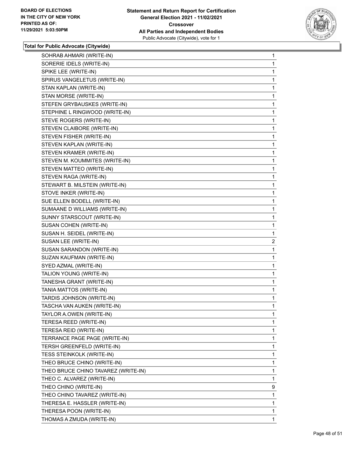

| SOHRAB AHMARI (WRITE-IN)            | $\mathbf{1}$   |
|-------------------------------------|----------------|
| SORERIE IDELS (WRITE-IN)            | 1              |
| SPIKE LEE (WRITE-IN)                | 1              |
| SPIRUS VANGELETUS (WRITE-IN)        | 1              |
| STAN KAPLAN (WRITE-IN)              | 1              |
| STAN MORSE (WRITE-IN)               | 1              |
| STEFEN GRYBAUSKES (WRITE-IN)        | 1              |
| STEPHINE L RINGWOOD (WRITE-IN)      | 1              |
| STEVE ROGERS (WRITE-IN)             | 1              |
| STEVEN CLAIBORE (WRITE-IN)          | 1              |
| STEVEN FISHER (WRITE-IN)            | 1              |
| STEVEN KAPLAN (WRITE-IN)            | 1              |
| STEVEN KRAMER (WRITE-IN)            | 1              |
| STEVEN M. KOUMMITES (WRITE-IN)      | 1              |
| STEVEN MATTEO (WRITE-IN)            | 1              |
| STEVEN RAGA (WRITE-IN)              | 1              |
| STEWART B. MILSTEIN (WRITE-IN)      | 1              |
| STOVE INKER (WRITE-IN)              | 1              |
| SUE ELLEN BODELL (WRITE-IN)         | 1              |
| SUMAANE D WILLIAMS (WRITE-IN)       | 1              |
| SUNNY STARSCOUT (WRITE-IN)          | 1              |
| SUSAN COHEN (WRITE-IN)              | 1              |
| SUSAN H. SEIDEL (WRITE-IN)          | 1              |
| SUSAN LEE (WRITE-IN)                | $\overline{2}$ |
| SUSAN SARANDON (WRITE-IN)           | 1              |
| SUZAN KAUFMAN (WRITE-IN)            | 1              |
| SYED AZMAL (WRITE-IN)               | 1              |
| TALION YOUNG (WRITE-IN)             | 1              |
| TANESHA GRANT (WRITE-IN)            | 1              |
| TANIA MATTOS (WRITE-IN)             | 1              |
| TARDIS JOHNSON (WRITE-IN)           | 1              |
| TASCHA VAN AUKEN (WRITE-IN)         | 1              |
| TAYLOR A.OWEN (WRITE-IN)            | 1              |
| TERESA REED (WRITE-IN)              | $\mathbf{1}$   |
| TERESA REID (WRITE-IN)              | 1              |
| TERRANCE PAGE PAGE (WRITE-IN)       | 1              |
| TERSH GREENFELD (WRITE-IN)          | 1              |
| TESS STEINKOLK (WRITE-IN)           | 1              |
| THEO BRUCE CHINO (WRITE-IN)         | 1              |
| THEO BRUCE CHINO TAVAREZ (WRITE-IN) | 1              |
| THEO C. ALVAREZ (WRITE-IN)          | 1              |
| THEO CHINO (WRITE-IN)               | 9              |
| THEO CHINO TAVAREZ (WRITE-IN)       | 1              |
| THERESA E. HASSLER (WRITE-IN)       | 1              |
| THERESA POON (WRITE-IN)             | 1              |
| THOMAS A ZMUDA (WRITE-IN)           | $\mathbf{1}$   |
|                                     |                |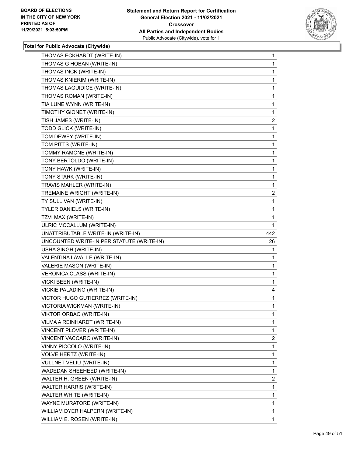

|                                           | $\mathbf{1}$   |
|-------------------------------------------|----------------|
| THOMAS G HOBAN (WRITE-IN)                 | 1              |
| THOMAS INCK (WRITE-IN)                    | 1              |
| THOMAS KNIERIM (WRITE-IN)                 | 1              |
| THOMAS LAGUIDICE (WRITE-IN)               | 1              |
| THOMAS ROMAN (WRITE-IN)                   | 1              |
| TIA LUNE WYNN (WRITE-IN)                  | 1              |
| TIMOTHY GIONET (WRITE-IN)                 | 1              |
| TISH JAMES (WRITE-IN)                     | $\overline{a}$ |
| TODD GLICK (WRITE-IN)                     | 1              |
| TOM DEWEY (WRITE-IN)                      | 1              |
| TOM PITTS (WRITE-IN)                      | 1              |
| TOMMY RAMONE (WRITE-IN)                   | 1              |
| TONY BERTOLDO (WRITE-IN)                  | 1              |
| TONY HAWK (WRITE-IN)                      | 1              |
| TONY STARK (WRITE-IN)                     | 1              |
| TRAVIS MAHLER (WRITE-IN)                  | 1              |
| TREMAINE WRIGHT (WRITE-IN)                | $\overline{2}$ |
| TY SULLIVAN (WRITE-IN)                    | 1              |
| TYLER DANIELS (WRITE-IN)                  | 1              |
| TZVI MAX (WRITE-IN)                       | 1              |
| ULRIC MCCALLUM (WRITE-IN)                 | 1              |
| UNATTRIBUTABLE WRITE-IN (WRITE-IN)        | 442            |
| UNCOUNTED WRITE-IN PER STATUTE (WRITE-IN) | 26             |
|                                           |                |
| USHA SINGH (WRITE-IN)                     | 1              |
| VALENTINA LAVALLE (WRITE-IN)              | 1              |
| VALERIE MASON (WRITE-IN)                  | 1              |
| <b>VERONICA CLASS (WRITE-IN)</b>          | 1              |
| VICKI BEEN (WRITE-IN)                     | 1              |
| VICKIE PALADINO (WRITE-IN)                | 4              |
| VICTOR HUGO GUTIERREZ (WRITE-IN)          | 1              |
| VICTORIA WICKMAN (WRITE-IN)               | $\mathbf{1}$   |
| VIKTOR ORBAO (WRITE-IN)                   | 1              |
| VILMA A REINHARDT (WRITE-IN)              | $\mathbf{1}$   |
| VINCENT PLOVER (WRITE-IN)                 | 1              |
| VINCENT VACCARO (WRITE-IN)                | $\overline{2}$ |
| VINNY PICCOLO (WRITE-IN)                  | 1              |
| <b>VOLVE HERTZ (WRITE-IN)</b>             | 1              |
| VULLNET VELIU (WRITE-IN)                  | 1              |
| WADEDAN SHEEHEED (WRITE-IN)               | 1              |
| WALTER H. GREEN (WRITE-IN)                | $\overline{2}$ |
| WALTER HARRIS (WRITE-IN)                  | 1              |
| WALTER WHITE (WRITE-IN)                   | 1              |
| WAYNE MURATORE (WRITE-IN)                 | $\mathbf{1}$   |
| WILLIAM DYER HALPERN (WRITE-IN)           | 1              |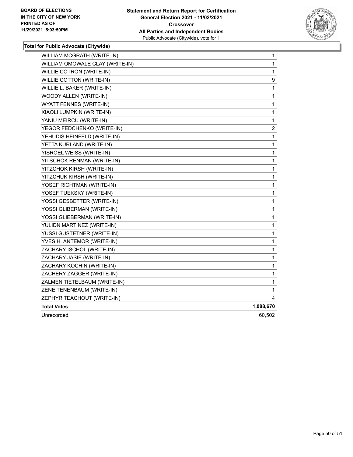

| WILLIAM MCGRATH (WRITE-IN)      | 1            |
|---------------------------------|--------------|
| WILLIAM OMOWALE CLAY (WRITE-IN) | 1            |
| WILLIE COTRON (WRITE-IN)        | 1            |
| <b>WILLIE COTTON (WRITE-IN)</b> | 9            |
| WILLIE L. BAKER (WRITE-IN)      | 1            |
| WOODY ALLEN (WRITE-IN)          | 1            |
| WYATT FENNES (WRITE-IN)         | 1            |
| XIAOLI LUMPKIN (WRITE-IN)       | 1            |
| YANIU MEIRCU (WRITE-IN)         | 1            |
| YEGOR FEDCHENKO (WRITE-IN)      | 2            |
| YEHUDIS HEINFELD (WRITE-IN)     | $\mathbf{1}$ |
| YETTA KURLAND (WRITE-IN)        | 1            |
| YISROEL WEISS (WRITE-IN)        | $\mathbf{1}$ |
| YITSCHOK RENMAN (WRITE-IN)      | 1            |
| YITZCHOK KIRSH (WRITE-IN)       | 1            |
| YITZCHUK KIRSH (WRITE-IN)       | 1            |
| YOSEF RICHTMAN (WRITE-IN)       | 1            |
| YOSEF TUEKSKY (WRITE-IN)        | 1            |
| YOSSI GESBETTER (WRITE-IN)      | 1            |
| YOSSI GLIBERMAN (WRITE-IN)      | 1            |
| YOSSI GLIEBERMAN (WRITE-IN)     | 1            |
| YULIDN MARTINEZ (WRITE-IN)      | $\mathbf{1}$ |
| YUSSI GUSTETNER (WRITE-IN)      | 1            |
| YVES H. ANTEMOR (WRITE-IN)      | 1            |
| ZACHARY ISCHOL (WRITE-IN)       | 1            |
| ZACHARY JASIE (WRITE-IN)        | 1            |
| ZACHARY KOCHIN (WRITE-IN)       | 1            |
| ZACHERY ZAGGER (WRITE-IN)       | 1            |
| ZALMEN TIETELBAUM (WRITE-IN)    | 1            |
| ZENE TENENBAUM (WRITE-IN)       | 1            |
| ZEPHYR TEACHOUT (WRITE-IN)      | 4            |
| <b>Total Votes</b>              | 1,088,670    |
| Unrecorded                      | 60,502       |